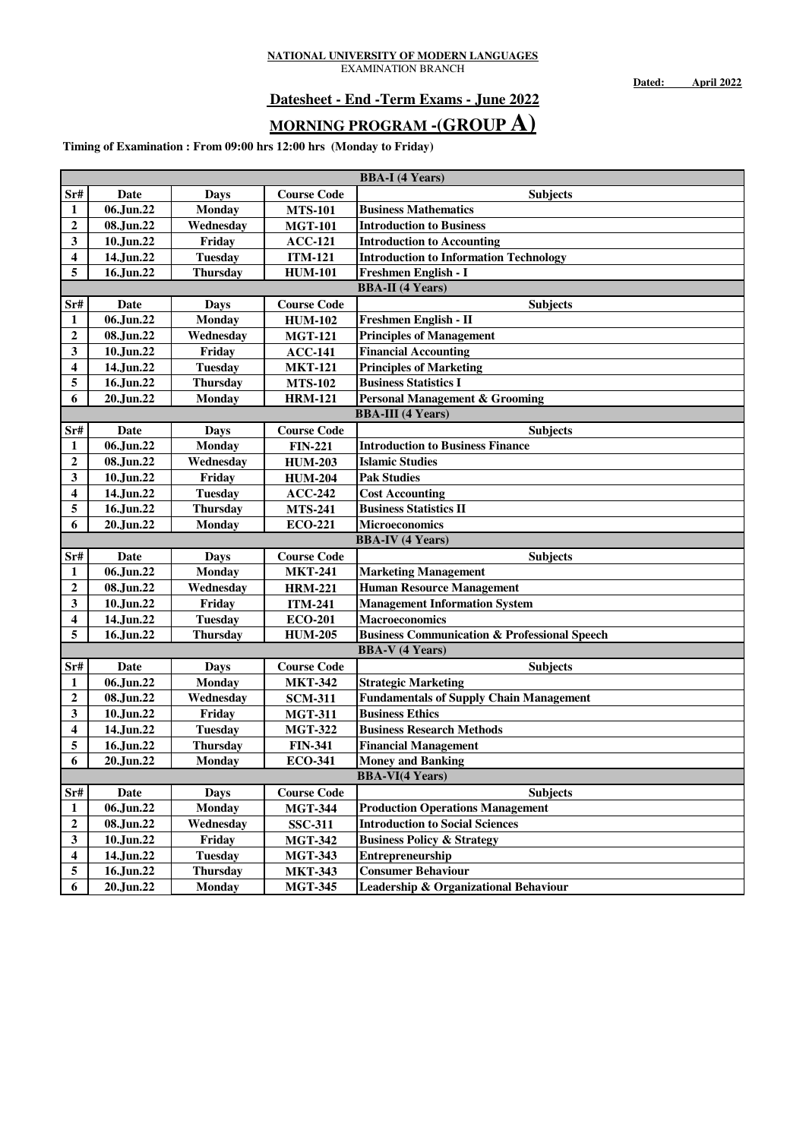**Dated: April 2022**

### **Datesheet - End -Term Exams - June 2022**

# **MORNING PROGRAM -(GROUP A)**

|                  | <b>BBA-I</b> (4 Years) |                 |                    |                                                         |  |  |
|------------------|------------------------|-----------------|--------------------|---------------------------------------------------------|--|--|
| Sr#              | Date                   | Days            | <b>Course Code</b> | <b>Subjects</b>                                         |  |  |
| 1                | 06.Jun.22              | <b>Monday</b>   | <b>MTS-101</b>     | <b>Business Mathematics</b>                             |  |  |
| $\boldsymbol{2}$ | 08.Jun.22              | Wednesday       | <b>MGT-101</b>     | <b>Introduction to Business</b>                         |  |  |
| 3                | 10.Jun.22              | Friday          | <b>ACC-121</b>     | <b>Introduction to Accounting</b>                       |  |  |
| 4                | 14.Jun.22              | <b>Tuesday</b>  | <b>ITM-121</b>     | <b>Introduction to Information Technology</b>           |  |  |
| 5                | 16.Jun.22              | <b>Thursday</b> | <b>HUM-101</b>     | Freshmen English - I                                    |  |  |
|                  |                        |                 |                    | <b>BBA-II</b> (4 Years)                                 |  |  |
| Sr#              | Date                   | Days            | <b>Course Code</b> | <b>Subjects</b>                                         |  |  |
| 1                | 06.Jun.22              | <b>Monday</b>   | <b>HUM-102</b>     | Freshmen English - II                                   |  |  |
| $\boldsymbol{2}$ | 08.Jun.22              | Wednesday       | <b>MGT-121</b>     | <b>Principles of Management</b>                         |  |  |
| 3                | 10.Jun.22              | Friday          | $ACC-141$          | <b>Financial Accounting</b>                             |  |  |
| 4                | 14.Jun.22              | <b>Tuesday</b>  | <b>MKT-121</b>     | <b>Principles of Marketing</b>                          |  |  |
| 5                | 16.Jun.22              | <b>Thursday</b> | <b>MTS-102</b>     | <b>Business Statistics I</b>                            |  |  |
| 6                | 20.Jun.22              | <b>Monday</b>   | <b>HRM-121</b>     | <b>Personal Management &amp; Grooming</b>               |  |  |
|                  |                        |                 |                    | <b>BBA-III</b> (4 Years)                                |  |  |
| Sr#              | Date                   | Days            | <b>Course Code</b> | <b>Subjects</b>                                         |  |  |
| 1                | 06.Jun.22              | Monday          | <b>FIN-221</b>     | <b>Introduction to Business Finance</b>                 |  |  |
| $\boldsymbol{2}$ | 08.Jun.22              | Wednesday       | <b>HUM-203</b>     | <b>Islamic Studies</b>                                  |  |  |
| 3                | 10.Jun.22              | Friday          | <b>HUM-204</b>     | <b>Pak Studies</b>                                      |  |  |
| 4                | 14.Jun.22              | <b>Tuesday</b>  | $ACC-242$          | <b>Cost Accounting</b>                                  |  |  |
| 5                | 16.Jun.22              | <b>Thursday</b> | <b>MTS-241</b>     | <b>Business Statistics II</b>                           |  |  |
| 6                | 20.Jun.22              | <b>Monday</b>   | <b>ECO-221</b>     | Microeconomics                                          |  |  |
|                  |                        |                 |                    | <b>BBA-IV</b> (4 Years)                                 |  |  |
| Sr#              | Date                   | Days            | <b>Course Code</b> | <b>Subjects</b>                                         |  |  |
| 1                | 06.Jun.22              | <b>Monday</b>   | <b>MKT-241</b>     | <b>Marketing Management</b>                             |  |  |
| $\boldsymbol{2}$ |                        |                 | <b>HRM-221</b>     | <b>Human Resource Management</b>                        |  |  |
|                  | 08.Jun.22              | Wednesday       |                    |                                                         |  |  |
| 3                | 10.Jun.22              | Friday          | <b>ITM-241</b>     | <b>Management Information System</b>                    |  |  |
| 4                | 14.Jun.22              | <b>Tuesday</b>  | <b>ECO-201</b>     | <b>Macroeconomics</b>                                   |  |  |
| 5                | 16.Jun.22              | <b>Thursday</b> | <b>HUM-205</b>     | <b>Business Communication &amp; Professional Speech</b> |  |  |
|                  |                        |                 |                    | <b>BBA-V</b> (4 Years)                                  |  |  |
| Sr#              | Date                   | <b>Days</b>     | <b>Course Code</b> | <b>Subjects</b>                                         |  |  |
| 1                | 06.Jun.22              | <b>Monday</b>   | <b>MKT-342</b>     | <b>Strategic Marketing</b>                              |  |  |
| $\boldsymbol{2}$ | 08.Jun.22              | Wednesday       | <b>SCM-311</b>     | <b>Fundamentals of Supply Chain Management</b>          |  |  |
| 3                | 10.Jun.22              | Friday          | <b>MGT-311</b>     | <b>Business Ethics</b>                                  |  |  |
| 4                | 14.Jun.22              | <b>Tuesday</b>  | <b>MGT-322</b>     | <b>Business Research Methods</b>                        |  |  |
| 5                | 16.Jun.22              | <b>Thursday</b> | <b>FIN-341</b>     | <b>Financial Management</b>                             |  |  |
| 6                | 20.Jun.22              | <b>Monday</b>   | <b>ECO-341</b>     | <b>Money and Banking</b>                                |  |  |
|                  |                        |                 |                    | <b>BBA-VI(4 Years)</b>                                  |  |  |
| Sr#              | Date                   | <b>Days</b>     | <b>Course Code</b> | <b>Subjects</b>                                         |  |  |
| 1                | 06.Jun.22              | <b>Monday</b>   | <b>MGT-344</b>     | <b>Production Operations Management</b>                 |  |  |
| $\boldsymbol{2}$ | 08.Jun.22              | Wednesday       | <b>SSC-311</b>     | <b>Introduction to Social Sciences</b>                  |  |  |
| 3                | 10.Jun.22              | Friday          | <b>MGT-342</b>     | <b>Business Policy &amp; Strategy</b>                   |  |  |
| 4                | 14.Jun.22              | <b>Tuesday</b>  | <b>MGT-343</b>     | Entrepreneurship                                        |  |  |
| 5                | 16.Jun.22              | <b>Thursday</b> | <b>MKT-343</b>     | <b>Consumer Behaviour</b>                               |  |  |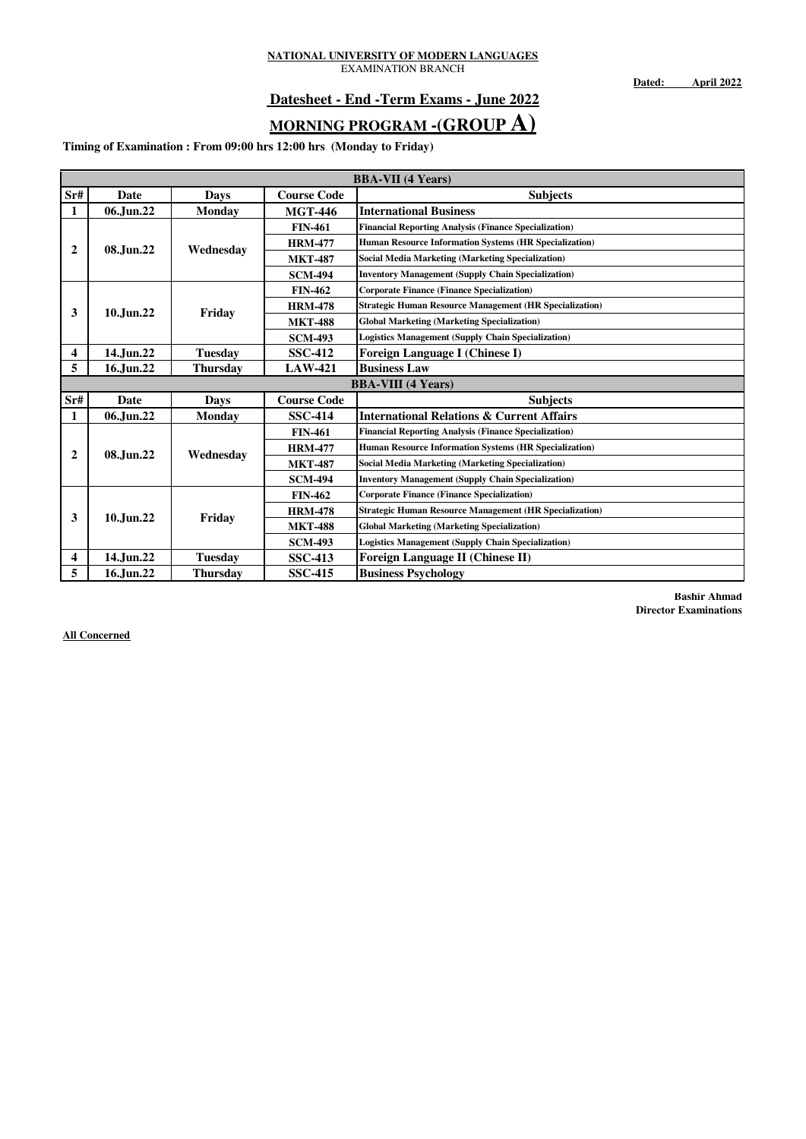**Dated: April 2022**

### **Datesheet - End -Term Exams - June 2022**

# **MORNING PROGRAM -(GROUP A)**

**Timing of Examination : From 09:00 hrs 12:00 hrs (Monday to Friday)**

|                         | <b>BBA-VII</b> (4 Years) |                 |                    |                                                                |  |  |  |
|-------------------------|--------------------------|-----------------|--------------------|----------------------------------------------------------------|--|--|--|
| Sr#                     | <b>Date</b>              | <b>Days</b>     | <b>Course Code</b> | <b>Subjects</b>                                                |  |  |  |
| 1                       | 06.Jun.22                | <b>Monday</b>   | <b>MGT-446</b>     | <b>International Business</b>                                  |  |  |  |
|                         |                          |                 | <b>FIN-461</b>     | <b>Financial Reporting Analysis (Finance Specialization)</b>   |  |  |  |
| $\overline{2}$          | 08.Jun.22                | Wednesday       | <b>HRM-477</b>     | Human Resource Information Systems (HR Specialization)         |  |  |  |
|                         |                          |                 | <b>MKT-487</b>     | <b>Social Media Marketing (Marketing Specialization)</b>       |  |  |  |
|                         |                          |                 | <b>SCM-494</b>     | <b>Inventory Management (Supply Chain Specialization)</b>      |  |  |  |
|                         |                          |                 | <b>FIN-462</b>     | <b>Corporate Finance (Finance Specialization)</b>              |  |  |  |
| 3                       | 10.Jun.22                | Friday          | <b>HRM-478</b>     | <b>Strategic Human Resource Management (HR Specialization)</b> |  |  |  |
|                         |                          |                 | <b>MKT-488</b>     | <b>Global Marketing (Marketing Specialization)</b>             |  |  |  |
|                         |                          |                 | <b>SCM-493</b>     | <b>Logistics Management (Supply Chain Specialization)</b>      |  |  |  |
| $\overline{\mathbf{4}}$ | 14.Jun.22                | <b>Tuesday</b>  | <b>SSC-412</b>     | <b>Foreign Language I (Chinese I)</b>                          |  |  |  |
| 5                       | 16.Jun.22                | <b>Thursday</b> | <b>LAW-421</b>     | <b>Business Law</b>                                            |  |  |  |
|                         |                          |                 |                    | <b>BBA-VIII</b> (4 Years)                                      |  |  |  |
| Sr#                     | <b>Date</b>              | <b>Days</b>     | <b>Course Code</b> | <b>Subjects</b>                                                |  |  |  |
| 1                       | 06.Jun.22                | <b>Monday</b>   | <b>SSC-414</b>     | <b>International Relations &amp; Current Affairs</b>           |  |  |  |
|                         |                          |                 | <b>FIN-461</b>     | <b>Financial Reporting Analysis (Finance Specialization)</b>   |  |  |  |
| $\overline{2}$          | 08.Jun.22                | Wednesday       | <b>HRM-477</b>     | Human Resource Information Systems (HR Specialization)         |  |  |  |
|                         |                          |                 | <b>MKT-487</b>     | <b>Social Media Marketing (Marketing Specialization)</b>       |  |  |  |
|                         |                          |                 | <b>SCM-494</b>     | <b>Inventory Management (Supply Chain Specialization)</b>      |  |  |  |
|                         |                          |                 | <b>FIN-462</b>     | <b>Corporate Finance (Finance Specialization)</b>              |  |  |  |
| 3                       | 10.Jun.22                | Friday          | <b>HRM-478</b>     | <b>Strategic Human Resource Management (HR Specialization)</b> |  |  |  |
|                         |                          |                 | <b>MKT-488</b>     | <b>Global Marketing (Marketing Specialization)</b>             |  |  |  |
|                         |                          |                 | <b>SCM-493</b>     | <b>Logistics Management (Supply Chain Specialization)</b>      |  |  |  |
| $\overline{\mathbf{4}}$ | 14.Jun.22                | <b>Tuesday</b>  | <b>SSC-413</b>     | Foreign Language II (Chinese II)                               |  |  |  |
| 5                       | 16.Jun.22                | <b>Thursday</b> | <b>SSC-415</b>     | <b>Business Psychology</b>                                     |  |  |  |

**Bashir Ahmad Director Examinations**

**All Concerned**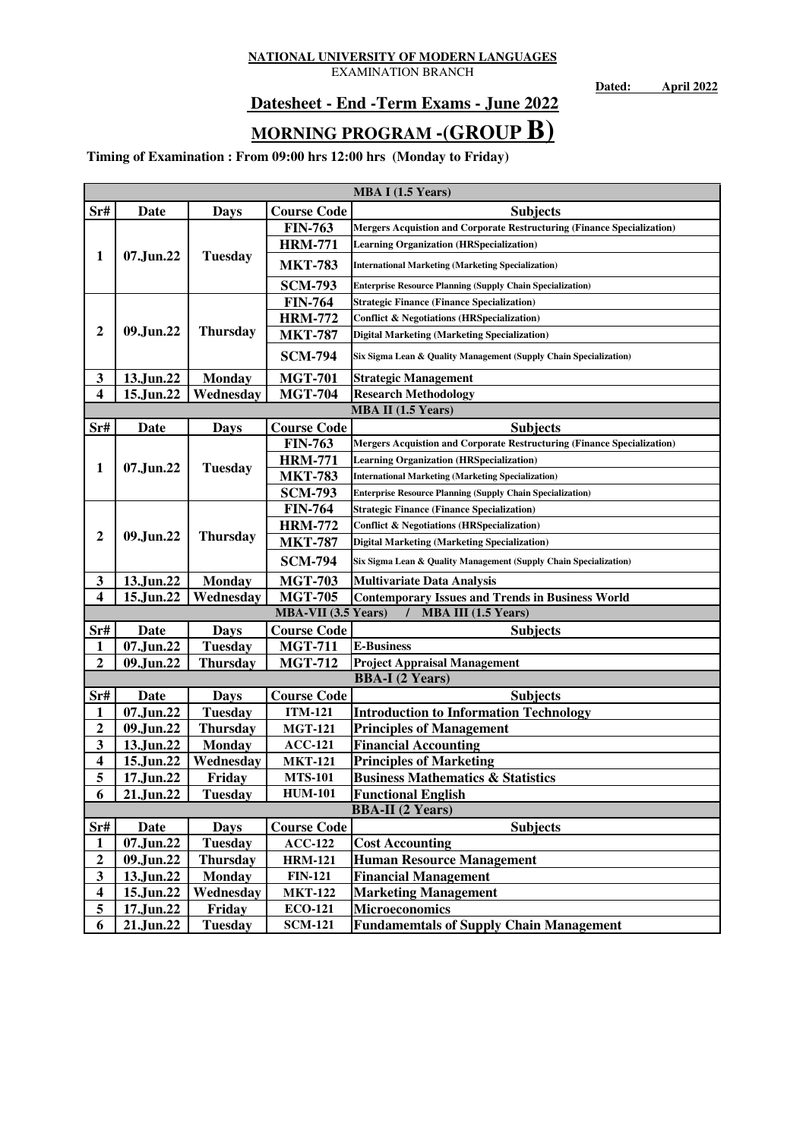EXAMINATION BRANCH

**Dated: April 2022**

## **Datesheet - End -Term Exams - June 2022**

# **MORNING PROGRAM -(GROUP B)**

|                                                                                                                                                                                                          | MBA I (1.5 Years)                                                                                                                                                                                                                     |                                                                                                                                                                                                                                                                                    |                                                                                                                                                                                                                                                                                                                                                           |                                                                                                                                                                                                                                                                                                                                                                                                                                                                                                                                                                                                                                        |  |  |  |
|----------------------------------------------------------------------------------------------------------------------------------------------------------------------------------------------------------|---------------------------------------------------------------------------------------------------------------------------------------------------------------------------------------------------------------------------------------|------------------------------------------------------------------------------------------------------------------------------------------------------------------------------------------------------------------------------------------------------------------------------------|-----------------------------------------------------------------------------------------------------------------------------------------------------------------------------------------------------------------------------------------------------------------------------------------------------------------------------------------------------------|----------------------------------------------------------------------------------------------------------------------------------------------------------------------------------------------------------------------------------------------------------------------------------------------------------------------------------------------------------------------------------------------------------------------------------------------------------------------------------------------------------------------------------------------------------------------------------------------------------------------------------------|--|--|--|
| Sr#                                                                                                                                                                                                      | <b>Date</b>                                                                                                                                                                                                                           | <b>Days</b>                                                                                                                                                                                                                                                                        | <b>Course Code</b>                                                                                                                                                                                                                                                                                                                                        | <b>Subjects</b>                                                                                                                                                                                                                                                                                                                                                                                                                                                                                                                                                                                                                        |  |  |  |
|                                                                                                                                                                                                          |                                                                                                                                                                                                                                       |                                                                                                                                                                                                                                                                                    | <b>FIN-763</b>                                                                                                                                                                                                                                                                                                                                            | Mergers Acquistion and Corporate Restructuring (Finance Specialization)                                                                                                                                                                                                                                                                                                                                                                                                                                                                                                                                                                |  |  |  |
|                                                                                                                                                                                                          |                                                                                                                                                                                                                                       |                                                                                                                                                                                                                                                                                    | <b>HRM-771</b>                                                                                                                                                                                                                                                                                                                                            | <b>Learning Organization (HRSpecialization)</b>                                                                                                                                                                                                                                                                                                                                                                                                                                                                                                                                                                                        |  |  |  |
| $\mathbf{1}$                                                                                                                                                                                             | 07.Jun.22                                                                                                                                                                                                                             | <b>Tuesday</b>                                                                                                                                                                                                                                                                     | <b>MKT-783</b>                                                                                                                                                                                                                                                                                                                                            | <b>International Marketing (Marketing Specialization)</b>                                                                                                                                                                                                                                                                                                                                                                                                                                                                                                                                                                              |  |  |  |
|                                                                                                                                                                                                          |                                                                                                                                                                                                                                       |                                                                                                                                                                                                                                                                                    | <b>SCM-793</b>                                                                                                                                                                                                                                                                                                                                            | <b>Enterprise Resource Planning (Supply Chain Specialization)</b>                                                                                                                                                                                                                                                                                                                                                                                                                                                                                                                                                                      |  |  |  |
|                                                                                                                                                                                                          |                                                                                                                                                                                                                                       |                                                                                                                                                                                                                                                                                    | <b>FIN-764</b>                                                                                                                                                                                                                                                                                                                                            | <b>Strategic Finance (Finance Specialization)</b>                                                                                                                                                                                                                                                                                                                                                                                                                                                                                                                                                                                      |  |  |  |
|                                                                                                                                                                                                          |                                                                                                                                                                                                                                       |                                                                                                                                                                                                                                                                                    | <b>HRM-772</b>                                                                                                                                                                                                                                                                                                                                            | <b>Conflict &amp; Negotiations (HRSpecialization)</b>                                                                                                                                                                                                                                                                                                                                                                                                                                                                                                                                                                                  |  |  |  |
| $\boldsymbol{2}$                                                                                                                                                                                         | 09.Jun.22                                                                                                                                                                                                                             | <b>Thursday</b>                                                                                                                                                                                                                                                                    | <b>MKT-787</b>                                                                                                                                                                                                                                                                                                                                            | <b>Digital Marketing (Marketing Specialization)</b>                                                                                                                                                                                                                                                                                                                                                                                                                                                                                                                                                                                    |  |  |  |
|                                                                                                                                                                                                          |                                                                                                                                                                                                                                       |                                                                                                                                                                                                                                                                                    | <b>SCM-794</b>                                                                                                                                                                                                                                                                                                                                            | Six Sigma Lean & Quality Management (Supply Chain Specialization)                                                                                                                                                                                                                                                                                                                                                                                                                                                                                                                                                                      |  |  |  |
| 3                                                                                                                                                                                                        | 13.Jun.22                                                                                                                                                                                                                             | <b>Monday</b>                                                                                                                                                                                                                                                                      | <b>MGT-701</b>                                                                                                                                                                                                                                                                                                                                            | <b>Strategic Management</b>                                                                                                                                                                                                                                                                                                                                                                                                                                                                                                                                                                                                            |  |  |  |
| $\overline{\mathbf{4}}$                                                                                                                                                                                  | 15.Jun.22                                                                                                                                                                                                                             | Wednesday                                                                                                                                                                                                                                                                          | <b>MGT-704</b>                                                                                                                                                                                                                                                                                                                                            | <b>Research Methodology</b>                                                                                                                                                                                                                                                                                                                                                                                                                                                                                                                                                                                                            |  |  |  |
|                                                                                                                                                                                                          |                                                                                                                                                                                                                                       |                                                                                                                                                                                                                                                                                    |                                                                                                                                                                                                                                                                                                                                                           | <b>MBA II</b> (1.5 Years)                                                                                                                                                                                                                                                                                                                                                                                                                                                                                                                                                                                                              |  |  |  |
| Sr#                                                                                                                                                                                                      | Date                                                                                                                                                                                                                                  | <b>Days</b>                                                                                                                                                                                                                                                                        | <b>Course Code</b>                                                                                                                                                                                                                                                                                                                                        | <b>Subjects</b>                                                                                                                                                                                                                                                                                                                                                                                                                                                                                                                                                                                                                        |  |  |  |
|                                                                                                                                                                                                          |                                                                                                                                                                                                                                       |                                                                                                                                                                                                                                                                                    | <b>FIN-763</b>                                                                                                                                                                                                                                                                                                                                            | Mergers Acquistion and Corporate Restructuring (Finance Specialization)                                                                                                                                                                                                                                                                                                                                                                                                                                                                                                                                                                |  |  |  |
| $\mathbf{1}$                                                                                                                                                                                             | 07.Jun.22<br><b>Tuesday</b>                                                                                                                                                                                                           | <b>HRM-771</b>                                                                                                                                                                                                                                                                     | <b>Learning Organization (HRSpecialization)</b>                                                                                                                                                                                                                                                                                                           |                                                                                                                                                                                                                                                                                                                                                                                                                                                                                                                                                                                                                                        |  |  |  |
|                                                                                                                                                                                                          |                                                                                                                                                                                                                                       |                                                                                                                                                                                                                                                                                    | <b>MKT-783</b>                                                                                                                                                                                                                                                                                                                                            | <b>International Marketing (Marketing Specialization)</b>                                                                                                                                                                                                                                                                                                                                                                                                                                                                                                                                                                              |  |  |  |
|                                                                                                                                                                                                          |                                                                                                                                                                                                                                       |                                                                                                                                                                                                                                                                                    | <b>SCM-793</b>                                                                                                                                                                                                                                                                                                                                            | <b>Enterprise Resource Planning (Supply Chain Specialization)</b>                                                                                                                                                                                                                                                                                                                                                                                                                                                                                                                                                                      |  |  |  |
|                                                                                                                                                                                                          |                                                                                                                                                                                                                                       |                                                                                                                                                                                                                                                                                    | <b>FIN-764</b>                                                                                                                                                                                                                                                                                                                                            | <b>Strategic Finance (Finance Specialization)</b>                                                                                                                                                                                                                                                                                                                                                                                                                                                                                                                                                                                      |  |  |  |
| $\boldsymbol{2}$                                                                                                                                                                                         | 09.Jun.22<br><b>Thursday</b>                                                                                                                                                                                                          | <b>HRM-772</b>                                                                                                                                                                                                                                                                     | <b>Conflict &amp; Negotiations (HRSpecialization)</b>                                                                                                                                                                                                                                                                                                     |                                                                                                                                                                                                                                                                                                                                                                                                                                                                                                                                                                                                                                        |  |  |  |
|                                                                                                                                                                                                          |                                                                                                                                                                                                                                       |                                                                                                                                                                                                                                                                                    | <b>MKT-787</b>                                                                                                                                                                                                                                                                                                                                            | <b>Digital Marketing (Marketing Specialization)</b>                                                                                                                                                                                                                                                                                                                                                                                                                                                                                                                                                                                    |  |  |  |
|                                                                                                                                                                                                          |                                                                                                                                                                                                                                       |                                                                                                                                                                                                                                                                                    | <b>SCM-794</b>                                                                                                                                                                                                                                                                                                                                            | Six Sigma Lean & Quality Management (Supply Chain Specialization)                                                                                                                                                                                                                                                                                                                                                                                                                                                                                                                                                                      |  |  |  |
| 3                                                                                                                                                                                                        | 13.Jun.22                                                                                                                                                                                                                             | <b>Monday</b>                                                                                                                                                                                                                                                                      | <b>MGT-703</b>                                                                                                                                                                                                                                                                                                                                            | <b>Multivariate Data Analysis</b>                                                                                                                                                                                                                                                                                                                                                                                                                                                                                                                                                                                                      |  |  |  |
| 4                                                                                                                                                                                                        |                                                                                                                                                                                                                                       |                                                                                                                                                                                                                                                                                    |                                                                                                                                                                                                                                                                                                                                                           | <b>Contemporary Issues and Trends in Business World</b>                                                                                                                                                                                                                                                                                                                                                                                                                                                                                                                                                                                |  |  |  |
|                                                                                                                                                                                                          |                                                                                                                                                                                                                                       |                                                                                                                                                                                                                                                                                    |                                                                                                                                                                                                                                                                                                                                                           |                                                                                                                                                                                                                                                                                                                                                                                                                                                                                                                                                                                                                                        |  |  |  |
|                                                                                                                                                                                                          |                                                                                                                                                                                                                                       |                                                                                                                                                                                                                                                                                    |                                                                                                                                                                                                                                                                                                                                                           |                                                                                                                                                                                                                                                                                                                                                                                                                                                                                                                                                                                                                                        |  |  |  |
| 1                                                                                                                                                                                                        |                                                                                                                                                                                                                                       |                                                                                                                                                                                                                                                                                    |                                                                                                                                                                                                                                                                                                                                                           |                                                                                                                                                                                                                                                                                                                                                                                                                                                                                                                                                                                                                                        |  |  |  |
|                                                                                                                                                                                                          |                                                                                                                                                                                                                                       |                                                                                                                                                                                                                                                                                    |                                                                                                                                                                                                                                                                                                                                                           |                                                                                                                                                                                                                                                                                                                                                                                                                                                                                                                                                                                                                                        |  |  |  |
|                                                                                                                                                                                                          |                                                                                                                                                                                                                                       |                                                                                                                                                                                                                                                                                    |                                                                                                                                                                                                                                                                                                                                                           |                                                                                                                                                                                                                                                                                                                                                                                                                                                                                                                                                                                                                                        |  |  |  |
|                                                                                                                                                                                                          |                                                                                                                                                                                                                                       |                                                                                                                                                                                                                                                                                    |                                                                                                                                                                                                                                                                                                                                                           |                                                                                                                                                                                                                                                                                                                                                                                                                                                                                                                                                                                                                                        |  |  |  |
|                                                                                                                                                                                                          |                                                                                                                                                                                                                                       |                                                                                                                                                                                                                                                                                    |                                                                                                                                                                                                                                                                                                                                                           |                                                                                                                                                                                                                                                                                                                                                                                                                                                                                                                                                                                                                                        |  |  |  |
|                                                                                                                                                                                                          |                                                                                                                                                                                                                                       |                                                                                                                                                                                                                                                                                    |                                                                                                                                                                                                                                                                                                                                                           |                                                                                                                                                                                                                                                                                                                                                                                                                                                                                                                                                                                                                                        |  |  |  |
|                                                                                                                                                                                                          |                                                                                                                                                                                                                                       |                                                                                                                                                                                                                                                                                    |                                                                                                                                                                                                                                                                                                                                                           |                                                                                                                                                                                                                                                                                                                                                                                                                                                                                                                                                                                                                                        |  |  |  |
|                                                                                                                                                                                                          |                                                                                                                                                                                                                                       |                                                                                                                                                                                                                                                                                    |                                                                                                                                                                                                                                                                                                                                                           |                                                                                                                                                                                                                                                                                                                                                                                                                                                                                                                                                                                                                                        |  |  |  |
|                                                                                                                                                                                                          |                                                                                                                                                                                                                                       |                                                                                                                                                                                                                                                                                    |                                                                                                                                                                                                                                                                                                                                                           |                                                                                                                                                                                                                                                                                                                                                                                                                                                                                                                                                                                                                                        |  |  |  |
|                                                                                                                                                                                                          |                                                                                                                                                                                                                                       |                                                                                                                                                                                                                                                                                    |                                                                                                                                                                                                                                                                                                                                                           |                                                                                                                                                                                                                                                                                                                                                                                                                                                                                                                                                                                                                                        |  |  |  |
|                                                                                                                                                                                                          |                                                                                                                                                                                                                                       |                                                                                                                                                                                                                                                                                    |                                                                                                                                                                                                                                                                                                                                                           |                                                                                                                                                                                                                                                                                                                                                                                                                                                                                                                                                                                                                                        |  |  |  |
|                                                                                                                                                                                                          |                                                                                                                                                                                                                                       |                                                                                                                                                                                                                                                                                    |                                                                                                                                                                                                                                                                                                                                                           |                                                                                                                                                                                                                                                                                                                                                                                                                                                                                                                                                                                                                                        |  |  |  |
|                                                                                                                                                                                                          |                                                                                                                                                                                                                                       |                                                                                                                                                                                                                                                                                    |                                                                                                                                                                                                                                                                                                                                                           |                                                                                                                                                                                                                                                                                                                                                                                                                                                                                                                                                                                                                                        |  |  |  |
|                                                                                                                                                                                                          |                                                                                                                                                                                                                                       |                                                                                                                                                                                                                                                                                    |                                                                                                                                                                                                                                                                                                                                                           |                                                                                                                                                                                                                                                                                                                                                                                                                                                                                                                                                                                                                                        |  |  |  |
|                                                                                                                                                                                                          |                                                                                                                                                                                                                                       |                                                                                                                                                                                                                                                                                    |                                                                                                                                                                                                                                                                                                                                                           |                                                                                                                                                                                                                                                                                                                                                                                                                                                                                                                                                                                                                                        |  |  |  |
|                                                                                                                                                                                                          |                                                                                                                                                                                                                                       |                                                                                                                                                                                                                                                                                    |                                                                                                                                                                                                                                                                                                                                                           |                                                                                                                                                                                                                                                                                                                                                                                                                                                                                                                                                                                                                                        |  |  |  |
|                                                                                                                                                                                                          |                                                                                                                                                                                                                                       |                                                                                                                                                                                                                                                                                    |                                                                                                                                                                                                                                                                                                                                                           |                                                                                                                                                                                                                                                                                                                                                                                                                                                                                                                                                                                                                                        |  |  |  |
| Sr#<br>$\boldsymbol{2}$<br>Sr#<br>1<br>$\overline{\mathbf{c}}$<br>3<br>$\overline{\mathbf{4}}$<br>5<br>6<br>Sr#<br>$\mathbf{1}$<br>$\boldsymbol{2}$<br>$\mathbf{3}$<br>$\overline{\mathbf{4}}$<br>5<br>6 | 15.Jun.22<br><b>Date</b><br>07.Jun.22<br>09.Jun.22<br>Date<br>07.Jun.22<br>09.Jun.22<br>13.Jun.22<br>15.Jun.22<br>17.Jun.22<br>21.Jun.22<br><b>Date</b><br>07.Jun.22<br>09.Jun.22<br>13.Jun.22<br>15.Jun.22<br>17.Jun.22<br>21.Jun.22 | Wednesday<br><b>Days</b><br><b>Tuesday</b><br><b>Thursday</b><br><b>Days</b><br><b>Tuesday</b><br><b>Thursday</b><br><b>Monday</b><br>Wednesday<br>Friday<br><b>Tuesday</b><br><b>Days</b><br><b>Tuesday</b><br>Thursday<br><b>Monday</b><br>Wednesday<br>Friday<br><b>Tuesday</b> | <b>MGT-705</b><br>MBA-VII (3.5 Years)<br><b>Course Code</b><br><b>MGT-711</b><br><b>MGT-712</b><br><b>Course Code</b><br><b>ITM-121</b><br><b>MGT-121</b><br>$ACC-121$<br><b>MKT-121</b><br><b>MTS-101</b><br><b>HUM-101</b><br><b>Course Code</b><br>$ACC-122$<br><b>HRM-121</b><br><b>FIN-121</b><br><b>MKT-122</b><br><b>ECO-121</b><br><b>SCM-121</b> | MBA III (1.5 Years)<br><b>Subjects</b><br><b>E-Business</b><br><b>Project Appraisal Management</b><br><b>BBA-I</b> (2 Years)<br><b>Subjects</b><br><b>Introduction to Information Technology</b><br><b>Principles of Management</b><br><b>Financial Accounting</b><br><b>Principles of Marketing</b><br><b>Business Mathematics &amp; Statistics</b><br><b>Functional English</b><br><b>BBA-II</b> (2 Years)<br><b>Subjects</b><br><b>Cost Accounting</b><br><b>Human Resource Management</b><br><b>Financial Management</b><br><b>Marketing Management</b><br><b>Microeconomics</b><br><b>Fundamemtals of Supply Chain Management</b> |  |  |  |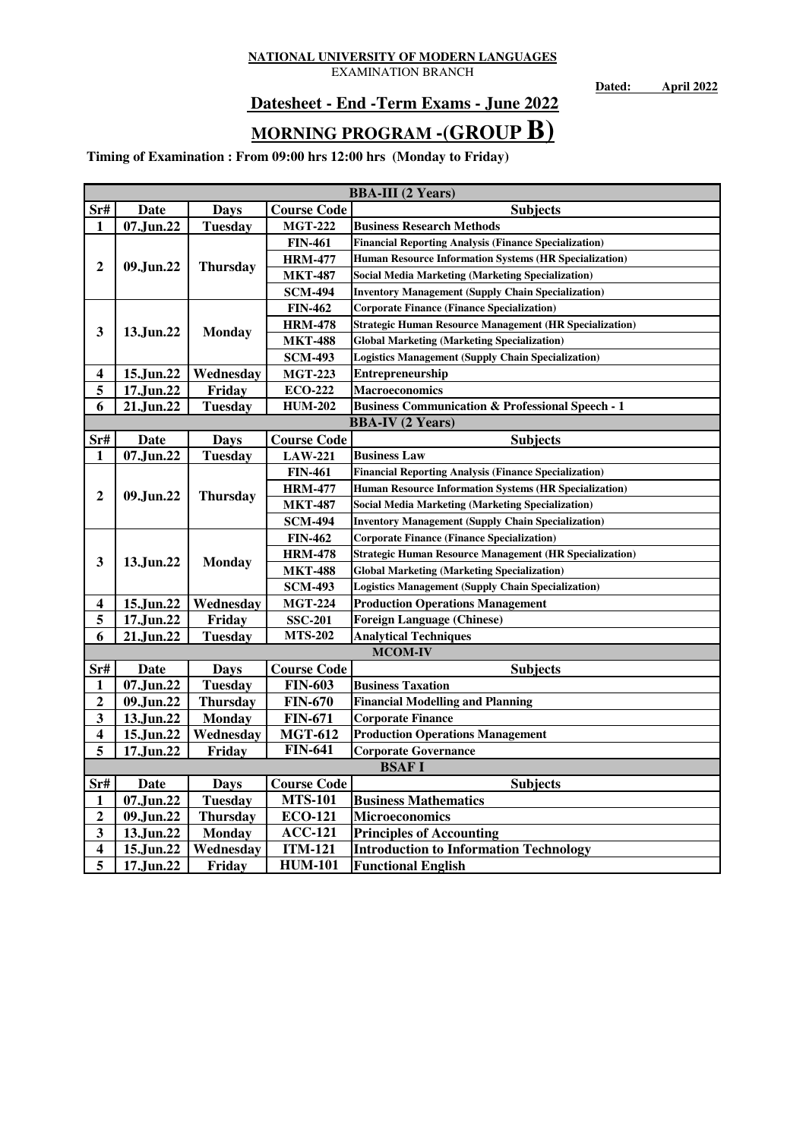EXAMINATION BRANCH

**Dated: April 2022**

## **Datesheet - End -Term Exams - June 2022**

# **MORNING PROGRAM -(GROUP B)**

|                         | <b>BBA-III</b> (2 Years) |                            |                    |                                                                |  |  |  |
|-------------------------|--------------------------|----------------------------|--------------------|----------------------------------------------------------------|--|--|--|
| Sr#                     | <b>Date</b>              | Days                       | <b>Course Code</b> | <b>Subjects</b>                                                |  |  |  |
| 1                       | 07.Jun.22                | <b>Tuesday</b>             | <b>MGT-222</b>     | <b>Business Research Methods</b>                               |  |  |  |
|                         |                          |                            | <b>FIN-461</b>     | <b>Financial Reporting Analysis (Finance Specialization)</b>   |  |  |  |
| $\overline{2}$          |                          |                            | <b>HRM-477</b>     | Human Resource Information Systems (HR Specialization)         |  |  |  |
|                         | 09.Jun.22                | <b>Thursday</b>            | <b>MKT-487</b>     | <b>Social Media Marketing (Marketing Specialization)</b>       |  |  |  |
|                         |                          |                            | <b>SCM-494</b>     | <b>Inventory Management (Supply Chain Specialization)</b>      |  |  |  |
|                         |                          |                            | <b>FIN-462</b>     | <b>Corporate Finance (Finance Specialization)</b>              |  |  |  |
| 3                       | 13.Jun.22                | <b>Monday</b>              | <b>HRM-478</b>     | <b>Strategic Human Resource Management (HR Specialization)</b> |  |  |  |
|                         |                          |                            | <b>MKT-488</b>     | <b>Global Marketing (Marketing Specialization)</b>             |  |  |  |
|                         |                          |                            | <b>SCM-493</b>     | <b>Logistics Management (Supply Chain Specialization)</b>      |  |  |  |
| $\overline{\mathbf{4}}$ | 15.Jun.22                | Wednesday                  | <b>MGT-223</b>     | <b>Entrepreneurship</b>                                        |  |  |  |
| 5                       | 17.Jun.22                | Friday                     | <b>ECO-222</b>     | <b>Macroeconomics</b>                                          |  |  |  |
| 6                       | 21.Jun.22                | <b>Tuesday</b>             | <b>HUM-202</b>     | <b>Business Communication &amp; Professional Speech - 1</b>    |  |  |  |
|                         |                          |                            |                    | <b>BBA-IV</b> (2 Years)                                        |  |  |  |
| Sr#                     | Date                     | <b>Days</b>                | <b>Course Code</b> | <b>Subjects</b>                                                |  |  |  |
| 1                       | 07.Jun.22                | <b>Tuesday</b>             | <b>LAW-221</b>     | <b>Business Law</b>                                            |  |  |  |
|                         |                          | <b>Thursday</b>            | <b>FIN-461</b>     | <b>Financial Reporting Analysis (Finance Specialization)</b>   |  |  |  |
| $\boldsymbol{2}$        | 09.Jun.22                |                            | <b>HRM-477</b>     | <b>Human Resource Information Systems (HR Specialization)</b>  |  |  |  |
|                         |                          |                            | <b>MKT-487</b>     | <b>Social Media Marketing (Marketing Specialization)</b>       |  |  |  |
|                         |                          |                            | <b>SCM-494</b>     | <b>Inventory Management (Supply Chain Specialization)</b>      |  |  |  |
|                         |                          | 13.Jun.22<br><b>Monday</b> | <b>FIN-462</b>     | <b>Corporate Finance (Finance Specialization)</b>              |  |  |  |
| 3                       |                          |                            | <b>HRM-478</b>     | <b>Strategic Human Resource Management (HR Specialization)</b> |  |  |  |
|                         |                          |                            | <b>MKT-488</b>     | <b>Global Marketing (Marketing Specialization)</b>             |  |  |  |
|                         |                          |                            | <b>SCM-493</b>     | <b>Logistics Management (Supply Chain Specialization)</b>      |  |  |  |
| 4                       | 15.Jun.22                | Wednesday                  | <b>MGT-224</b>     | <b>Production Operations Management</b>                        |  |  |  |
| 5                       | 17.Jun.22                | Friday                     | <b>SSC-201</b>     | <b>Foreign Language (Chinese)</b>                              |  |  |  |
| 6                       | 21.Jun.22                | <b>Tuesday</b>             | <b>MTS-202</b>     | <b>Analytical Techniques</b>                                   |  |  |  |
|                         |                          |                            |                    | <b>MCOM-IV</b>                                                 |  |  |  |
| Sr#                     | Date                     | <b>Days</b>                | <b>Course Code</b> | <b>Subjects</b>                                                |  |  |  |
| $\mathbf{1}$            | 07.Jun.22                | <b>Tuesday</b>             | <b>FIN-603</b>     | <b>Business Taxation</b>                                       |  |  |  |
| $\boldsymbol{2}$        | 09.Jun.22                | <b>Thursday</b>            | <b>FIN-670</b>     | <b>Financial Modelling and Planning</b>                        |  |  |  |
| 3                       | 13.Jun.22                | <b>Monday</b>              | <b>FIN-671</b>     | <b>Corporate Finance</b>                                       |  |  |  |
| $\overline{\mathbf{4}}$ | 15.Jun.22                | Wednesday                  | <b>MGT-612</b>     | <b>Production Operations Management</b>                        |  |  |  |
| 5                       | Friday<br>17.Jun.22      |                            | <b>FIN-641</b>     | <b>Corporate Governance</b>                                    |  |  |  |
|                         |                          |                            |                    | <b>BSAFI</b>                                                   |  |  |  |
| Sr#                     | Date                     | <b>Days</b>                | <b>Course Code</b> | <b>Subjects</b>                                                |  |  |  |
| 1                       | 07.Jun.22                | <b>Tuesday</b>             | <b>MTS-101</b>     | <b>Business Mathematics</b>                                    |  |  |  |
| $\mathbf{2}$            | 09.Jun.22                | <b>Thursday</b>            | <b>ECO-121</b>     | <b>Microeconomics</b>                                          |  |  |  |
| 3                       | 13.Jun.22                | <b>Monday</b>              | <b>ACC-121</b>     | <b>Principles of Accounting</b>                                |  |  |  |
| $\overline{\mathbf{4}}$ | 15.Jun.22                | Wednesday                  | <b>ITM-121</b>     | <b>Introduction to Information Technology</b>                  |  |  |  |
| 5                       | 17.Jun.22                | Friday                     | <b>HUM-101</b>     | <b>Functional English</b>                                      |  |  |  |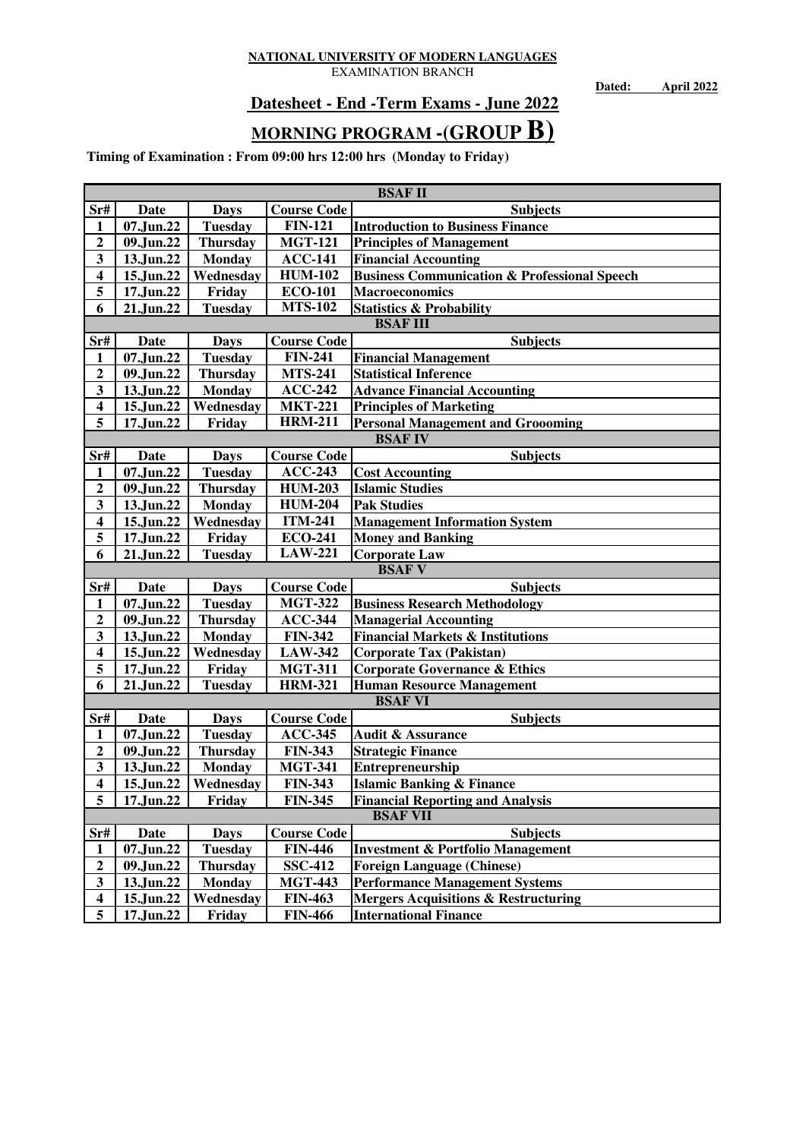EXAMINATION BRANCH

**Dated: April 2022**

## **Datesheet - End -Term Exams - June 2022**

# **MORNING PROGRAM -(GROUP B)**

|                         | <b>BSAF II</b>          |                  |                    |                                                         |  |  |  |
|-------------------------|-------------------------|------------------|--------------------|---------------------------------------------------------|--|--|--|
| Sr#                     | Date                    | <b>Days</b>      | <b>Course Code</b> | <b>Subjects</b>                                         |  |  |  |
| 1                       | 07.Jun.22               | <b>Tuesday</b>   | <b>FIN-121</b>     | <b>Introduction to Business Finance</b>                 |  |  |  |
| $\mathbf{2}$            | 09.Jun.22               | <b>Thursday</b>  | <b>MGT-121</b>     | <b>Principles of Management</b>                         |  |  |  |
| $\overline{\mathbf{3}}$ | 13.Jun.22               | <b>Monday</b>    | <b>ACC-141</b>     | <b>Financial Accounting</b>                             |  |  |  |
| $\overline{\mathbf{4}}$ | 15.Jun.22               | Wednesday        | <b>HUM-102</b>     | <b>Business Communication &amp; Professional Speech</b> |  |  |  |
| 5                       | 17.Jun.22               | Friday           | <b>ECO-101</b>     | <b>Macroeconomics</b>                                   |  |  |  |
| 6                       | 21.Jun.22               | <b>Tuesday</b>   | <b>MTS-102</b>     | <b>Statistics &amp; Probability</b>                     |  |  |  |
|                         |                         |                  |                    | <b>BSAFIII</b>                                          |  |  |  |
| Sr#                     | Date                    | <b>Days</b>      | <b>Course Code</b> | <b>Subjects</b>                                         |  |  |  |
| 1                       | 07.Jun.22               | <b>Tuesday</b>   | <b>FIN-241</b>     | <b>Financial Management</b>                             |  |  |  |
| $\mathbf{2}$            | 09.Jun.22               | <b>Thursday</b>  | <b>MTS-241</b>     | <b>Statistical Inference</b>                            |  |  |  |
| 3                       | 13.Jun.22               | <b>Monday</b>    | $ACC-242$          | <b>Advance Financial Accounting</b>                     |  |  |  |
| $\overline{\mathbf{4}}$ | 15.Jun.22               | Wednesday        | <b>MKT-221</b>     | <b>Principles of Marketing</b>                          |  |  |  |
| $\overline{5}$          | 17.Jun.22               | Friday           | <b>HRM-211</b>     | <b>Personal Management and Groooming</b>                |  |  |  |
|                         |                         |                  |                    | <b>BSAFIV</b>                                           |  |  |  |
| Sr#                     | <b>Date</b>             | <b>Days</b>      | <b>Course Code</b> | <b>Subjects</b>                                         |  |  |  |
| $\mathbf{1}$            | 07.Jun.22               | <b>Tuesday</b>   | $ACC-243$          | <b>Cost Accounting</b>                                  |  |  |  |
| $\mathbf{2}$            | 09.Jun.22               | <b>Thursday</b>  | <b>HUM-203</b>     | <b>Islamic Studies</b>                                  |  |  |  |
| $\overline{\mathbf{3}}$ | 13.Jun.22               | <b>Monday</b>    | <b>HUM-204</b>     | <b>Pak Studies</b>                                      |  |  |  |
| $\overline{\mathbf{4}}$ | 15.Jun.22               | Wednesday        | <b>ITM-241</b>     | <b>Management Information System</b>                    |  |  |  |
| 5                       | 17.Jun.22               | Friday           | <b>ECO-241</b>     | <b>Money and Banking</b>                                |  |  |  |
| 6                       | 21.Jun.22               | <b>Tuesday</b>   | <b>LAW-221</b>     | <b>Corporate Law</b>                                    |  |  |  |
|                         |                         |                  |                    | <b>BSAFV</b>                                            |  |  |  |
| Sr#                     | Date                    | <b>Days</b>      | <b>Course Code</b> | <b>Subjects</b>                                         |  |  |  |
| 1                       | 07.Jun.22               | <b>Tuesday</b>   | <b>MGT-322</b>     | <b>Business Research Methodology</b>                    |  |  |  |
| $\mathbf{2}$            | 09.Jun.22               | <b>Thursday</b>  | <b>ACC-344</b>     | <b>Managerial Accounting</b>                            |  |  |  |
| 3                       | 13.Jun.22               | <b>Monday</b>    | <b>FIN-342</b>     | <b>Financial Markets &amp; Institutions</b>             |  |  |  |
| $\overline{\mathbf{4}}$ | 15.Jun.22               | Wednesday        | <b>LAW-342</b>     | <b>Corporate Tax (Pakistan)</b>                         |  |  |  |
| 5                       | 17.Jun.22               | Friday           | <b>MGT-311</b>     | <b>Corporate Governance &amp; Ethics</b>                |  |  |  |
| 6                       | 21.Jun.22               | <b>Tuesday</b>   | <b>HRM-321</b>     | <b>Human Resource Management</b>                        |  |  |  |
|                         |                         |                  |                    | <b>BSAF VI</b>                                          |  |  |  |
| Sr#                     | <b>Date</b>             | <b>Days</b>      | <b>Course Code</b> | <b>Subjects</b>                                         |  |  |  |
| $\mathbf{1}$            | 07.Jun.22               | <b>Tuesday</b>   | <b>ACC-345</b>     | <b>Audit &amp; Assurance</b>                            |  |  |  |
| $\overline{2}$          | $\overline{0}9$ .Jun.22 | <b>Thursday</b>  | <b>FIN-343</b>     | <b>Strategic Finance</b>                                |  |  |  |
| 3                       | 13.Jun.22               | <b>Monday</b>    | <b>MGT-341</b>     | Entrepreneurship                                        |  |  |  |
| $\overline{\mathbf{4}}$ | 15.Jun.22               | <b>Wednesday</b> | <b>FIN-343</b>     | <b>Islamic Banking &amp; Finance</b>                    |  |  |  |
| 5                       | 17.Jun.22               | Friday           | <b>FIN-345</b>     | <b>Financial Reporting and Analysis</b>                 |  |  |  |
|                         |                         |                  |                    | <b>BSAF VII</b>                                         |  |  |  |
| Sr#                     | Date                    | <b>Days</b>      | <b>Course Code</b> | <b>Subjects</b>                                         |  |  |  |
| $\mathbf{1}$            | 07.Jun.22               | <b>Tuesday</b>   | <b>FIN-446</b>     | <b>Investment &amp; Portfolio Management</b>            |  |  |  |
| $\overline{2}$          | 09.Jun.22               | <b>Thursday</b>  | <b>SSC-412</b>     | <b>Foreign Language (Chinese)</b>                       |  |  |  |
| $\mathbf{3}$            | 13.Jun.22               | <b>Monday</b>    | <b>MGT-443</b>     | <b>Performance Management Systems</b>                   |  |  |  |
| $\overline{\mathbf{4}}$ | 15.Jun.22               | Wednesday        | <b>FIN-463</b>     | <b>Mergers Acquisitions &amp; Restructuring</b>         |  |  |  |
| 5                       | 17.Jun.22               | Friday           | <b>FIN-466</b>     | <b>International Finance</b>                            |  |  |  |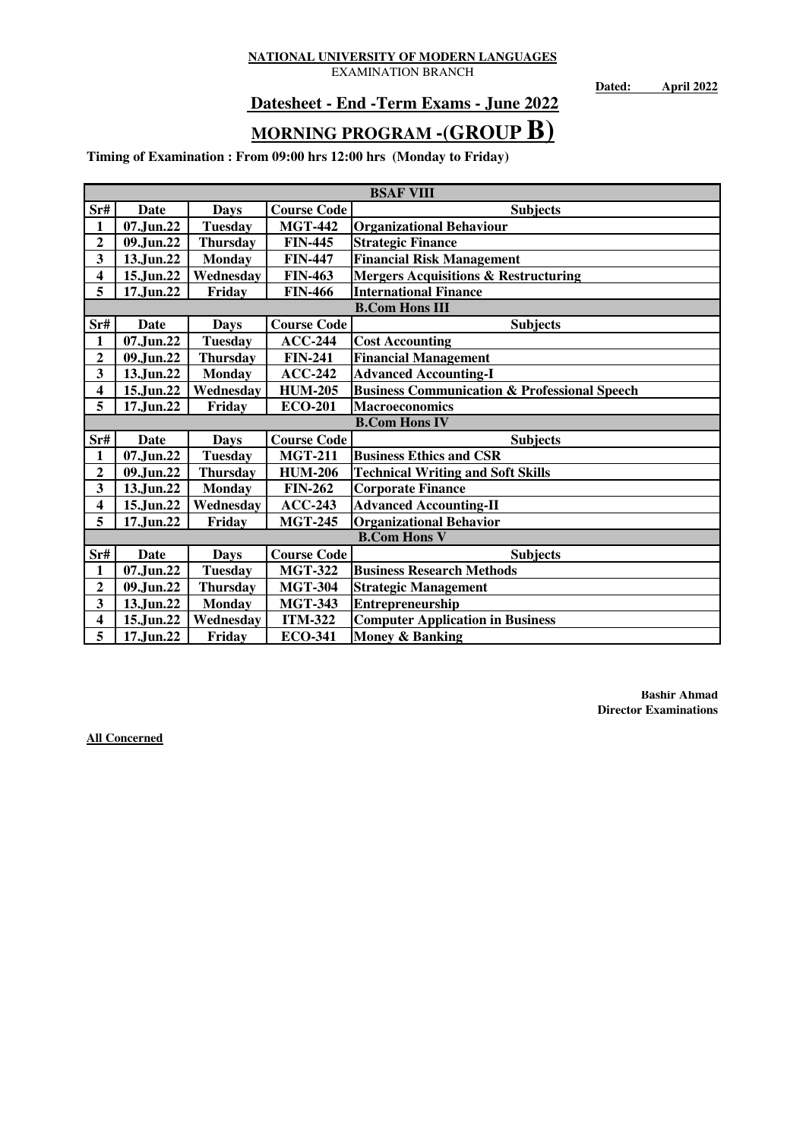EXAMINATION BRANCH

**Dated: April 2022**

## **Datesheet - End -Term Exams - June 2022**

# **MORNING PROGRAM -(GROUP B)**

**Timing of Examination : From 09:00 hrs 12:00 hrs (Monday to Friday)**

|                         | <b>BSAF VIII</b> |                 |                    |                                                         |  |  |  |
|-------------------------|------------------|-----------------|--------------------|---------------------------------------------------------|--|--|--|
| Sr#                     | Date             | <b>Days</b>     | <b>Course Code</b> | <b>Subjects</b>                                         |  |  |  |
| $\mathbf{1}$            | 07.Jun.22        | <b>Tuesday</b>  | <b>MGT-442</b>     | <b>Organizational Behaviour</b>                         |  |  |  |
| $\overline{2}$          | 09.Jun.22        | <b>Thursday</b> | <b>FIN-445</b>     | <b>Strategic Finance</b>                                |  |  |  |
| 3                       | 13.Jun.22        | <b>Monday</b>   | <b>FIN-447</b>     | <b>Financial Risk Management</b>                        |  |  |  |
| $\overline{\mathbf{4}}$ | 15.Jun.22        | Wednesdav       | <b>FIN-463</b>     | <b>Mergers Acquisitions &amp; Restructuring</b>         |  |  |  |
| 5                       | 17.Jun.22        | Friday          | <b>FIN-466</b>     | <b>International Finance</b>                            |  |  |  |
|                         |                  |                 |                    | <b>B.Com Hons III</b>                                   |  |  |  |
| Sr#                     | Date             | <b>Days</b>     | <b>Course Code</b> | <b>Subjects</b>                                         |  |  |  |
| $\mathbf{1}$            | 07.Jun.22        | <b>Tuesday</b>  | $ACC-244$          | <b>Cost Accounting</b>                                  |  |  |  |
| $\overline{2}$          | 09.Jun.22        | <b>Thursday</b> | <b>FIN-241</b>     | <b>Financial Management</b>                             |  |  |  |
| 3                       | 13.Jun.22        | <b>Monday</b>   | $ACC-242$          | <b>Advanced Accounting-I</b>                            |  |  |  |
| $\overline{\mathbf{4}}$ | 15.Jun.22        | Wednesday       | <b>HUM-205</b>     | <b>Business Communication &amp; Professional Speech</b> |  |  |  |
| 5                       | 17.Jun.22        | Friday          | <b>ECO-201</b>     | <b>Macroeconomics</b>                                   |  |  |  |
|                         |                  |                 |                    | <b>B.Com Hons IV</b>                                    |  |  |  |
| Sr#                     | Date             | <b>Days</b>     | <b>Course Code</b> | <b>Subjects</b>                                         |  |  |  |
| 1                       | 07.Jun.22        | <b>Tuesday</b>  | <b>MGT-211</b>     | <b>Business Ethics and CSR</b>                          |  |  |  |
| $\overline{2}$          | 09.Jun.22        | <b>Thursday</b> | <b>HUM-206</b>     | <b>Technical Writing and Soft Skills</b>                |  |  |  |
| 3                       | 13.Jun.22        | <b>Monday</b>   | <b>FIN-262</b>     | <b>Corporate Finance</b>                                |  |  |  |
| $\overline{\mathbf{4}}$ | 15.Jun.22        | Wednesday       | $ACC-243$          | <b>Advanced Accounting-II</b>                           |  |  |  |
| 5                       | 17.Jun.22        | Friday          | <b>MGT-245</b>     | <b>Organizational Behavior</b>                          |  |  |  |
|                         |                  |                 |                    | <b>B.Com Hons V</b>                                     |  |  |  |
| $S$ r#                  | Date             | <b>Days</b>     | <b>Course Code</b> | <b>Subjects</b>                                         |  |  |  |
| $\mathbf{1}$            | 07.Jun.22        | <b>Tuesday</b>  | <b>MGT-322</b>     | <b>Business Research Methods</b>                        |  |  |  |
| $\overline{\mathbf{c}}$ | 09.Jun.22        | <b>Thursday</b> | <b>MGT-304</b>     | <b>Strategic Management</b>                             |  |  |  |
| 3                       | 13.Jun.22        | <b>Monday</b>   | <b>MGT-343</b>     | Entrepreneurship                                        |  |  |  |
| $\overline{\mathbf{4}}$ | 15.Jun.22        | Wednesday       | <b>ITM-322</b>     | <b>Computer Application in Business</b>                 |  |  |  |
| 5                       | 17.Jun.22        | Friday          | <b>ECO-341</b>     | Money & Banking                                         |  |  |  |

**Bashir Ahmad Director Examinations**

**All Concerned**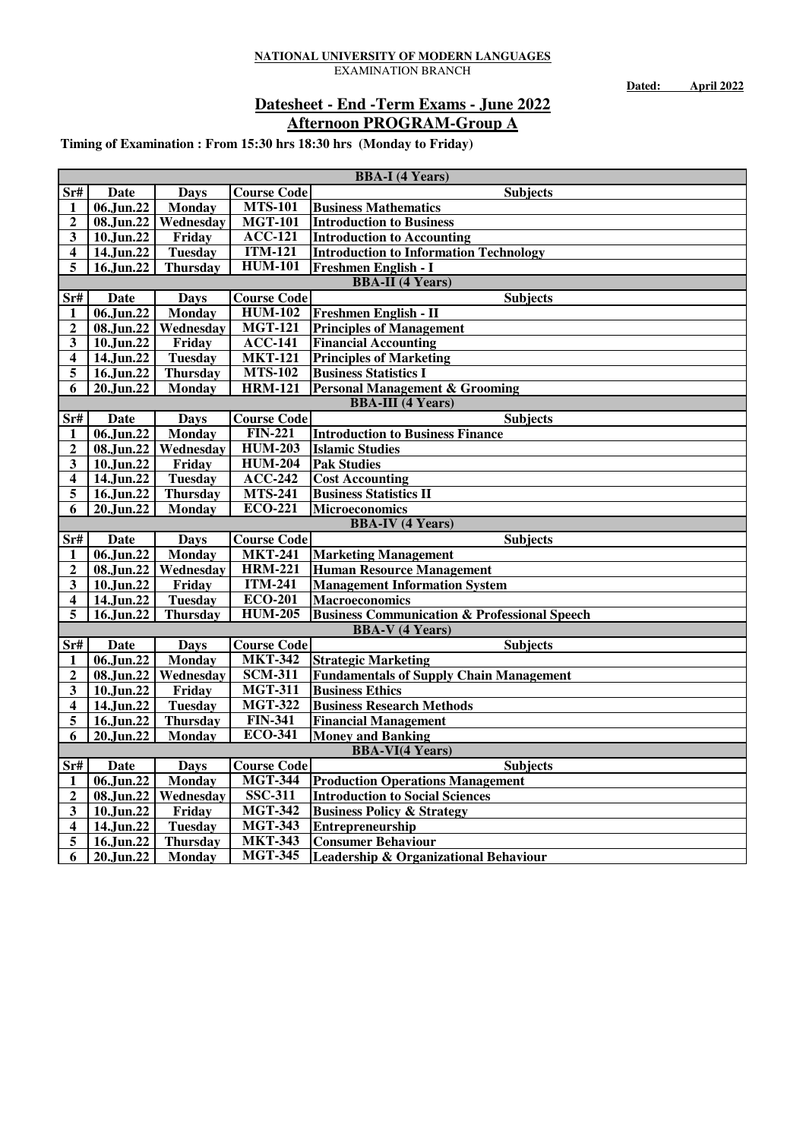**Dated: April 2022**

### **Afternoon PROGRAM-Group A Datesheet - End -Term Exams - June 2022**

|                         | <b>BBA-I</b> (4 Years)  |                               |                                  |                                                                    |  |
|-------------------------|-------------------------|-------------------------------|----------------------------------|--------------------------------------------------------------------|--|
| $S_{r#}$                | Date                    | <b>Days</b>                   | <b>Course Code</b>               | <b>Subjects</b>                                                    |  |
| 1                       | 06.Jun.22               | Monday                        | <b>MTS-101</b>                   | <b>Business Mathematics</b>                                        |  |
| $\mathbf{2}$            | 08.Jun.22               | Wednesday                     | <b>MGT-101</b>                   | <b>Introduction to Business</b>                                    |  |
| $\mathbf{3}$            | 10.Jun.22               | Friday                        | $ACC-121$                        | <b>Introduction to Accounting</b>                                  |  |
| 4                       | 14.Jun.22               | <b>Tuesday</b>                | <b>ITM-121</b>                   | <b>Introduction to Information Technology</b>                      |  |
| 5                       | 16.Jun.22               | <b>Thursday</b>               | <b>HUM-101</b>                   | Freshmen English - I                                               |  |
|                         |                         |                               |                                  | <b>BBA-II</b> (4 Years)                                            |  |
| Sr#                     | Date                    | <b>Days</b>                   | <b>Course Code</b>               | <b>Subjects</b>                                                    |  |
| 1                       | 06.Jun.22               | <b>Monday</b>                 | <b>HUM-102</b>                   | <b>Freshmen English - II</b>                                       |  |
| $\overline{2}$          | 08.Jun.22               | Wednesday                     | <b>MGT-121</b>                   | <b>Principles of Management</b>                                    |  |
| 3                       | 10.Jun.22               | Friday                        | $\overline{ACC-141}$             | <b>Financial Accounting</b>                                        |  |
| 4                       | 14.Jun.22               | <b>Tuesday</b>                | <b>MKT-121</b>                   | <b>Principles of Marketing</b>                                     |  |
| 5                       | 16.Jun.22               | <b>Thursday</b>               | <b>MTS-102</b>                   | <b>Business Statistics I</b>                                       |  |
| 6                       | 20.Jun.22               | <b>Monday</b>                 | $\overline{\text{HRM}}$ -121     | <b>Personal Management &amp; Grooming</b>                          |  |
|                         |                         |                               |                                  | <b>BBA-III</b> (4 Years)                                           |  |
| Sr#                     | <b>Date</b>             | <b>Days</b>                   | <b>Course Code</b>               | <b>Subjects</b>                                                    |  |
| 1                       | 06.Jun.22               | Monday                        | <b>FIN-221</b>                   | <b>Introduction to Business Finance</b>                            |  |
| $\overline{\mathbf{c}}$ | 08.Jun.22               | Wednesday                     | <b>HUM-203</b>                   | <b>Islamic Studies</b>                                             |  |
| 3                       | 10.Jun.22               | Friday                        | <b>HUM-204</b>                   | <b>Pak Studies</b>                                                 |  |
| 4                       | 14.Jun.22               | <b>Tuesday</b>                | $ACC-242$                        | <b>Cost Accounting</b>                                             |  |
| 5                       | 16.Jun.22               | Thursday                      | <b>MTS-241</b>                   | <b>Business Statistics II</b>                                      |  |
| 6                       | 20.Jun.22               | <b>Monday</b>                 | <b>ECO-221</b>                   | <b>Microeconomics</b>                                              |  |
|                         |                         |                               |                                  | <b>BBA-IV (4 Years)</b>                                            |  |
| $S$ r#                  | <b>Date</b>             | <b>Days</b>                   | <b>Course Code</b>               | <b>Subjects</b>                                                    |  |
| 1                       | 06.Jun.22               | Monday                        | <b>MKT-241</b>                   | <b>Marketing Management</b>                                        |  |
| $\mathbf 2$             | 08.Jun.22               | Wednesday                     | <b>HRM-221</b>                   | <b>Human Resource Management</b>                                   |  |
| 3                       | 10.Jun.22               | Friday                        | $\overline{ITM-241}$             | <b>Management Information System</b>                               |  |
| 4                       | $\overline{14.}$ Jun.22 | <b>Tuesday</b>                | <b>ECO-201</b>                   | <b>Macroeconomics</b>                                              |  |
| 5                       | $\overline{16}$ .Jun.22 | <b>Thursday</b>               | <b>HUM-205</b>                   | <b>Business Communication &amp; Professional Speech</b>            |  |
|                         |                         |                               |                                  | <b>BBA-V</b> (4 Years)                                             |  |
| $S$ r#                  | <b>Date</b>             | <b>Days</b>                   | <b>Course Code</b>               | <b>Subjects</b>                                                    |  |
| 1                       | 06.Jun.22               | <b>Monday</b>                 | <b>MKT-342</b>                   | <b>Strategic Marketing</b>                                         |  |
| $\mathbf{2}$            | 08.Jun.22               | Wednesday                     | <b>SCM-311</b>                   | <b>Fundamentals of Supply Chain Management</b>                     |  |
| 3                       | $\overline{10}$ .Jun.22 | Friday                        | <b>MGT-311</b>                   | <b>Business Ethics</b>                                             |  |
| 4                       |                         |                               |                                  |                                                                    |  |
| 5                       | 14.Jun.22               | <b>Tuesday</b>                | <b>MGT-322</b>                   | <b>Business Research Methods</b>                                   |  |
|                         | 16.Jun.22               | <b>Thursday</b>               | <b>FIN-341</b>                   | <b>Financial Management</b>                                        |  |
| 6                       | 20.Jun.22               | <b>Monday</b>                 | <b>ECO-341</b>                   | <b>Money and Banking</b>                                           |  |
|                         |                         |                               |                                  | <b>BBA-VI(4 Years)</b>                                             |  |
| $S$ r#                  | <b>Date</b>             | <b>Days</b>                   | <b>Course Code</b>               | <b>Subjects</b>                                                    |  |
| 1                       | $\overline{06}$ .Jun.22 | <b>Monday</b>                 | <b>MGT-344</b>                   | <b>Production Operations Management</b>                            |  |
| $\overline{2}$          | 08.Jun.22               | Wednesday                     | <b>SSC-311</b>                   | <b>Introduction to Social Sciences</b>                             |  |
| 3                       | $\overline{10}$ .Jun.22 | $\overline{\textbf{F}}$ riday | <b>MGT-342</b>                   | <b>Business Policy &amp; Strategy</b>                              |  |
| 4                       | 14.Jun.22               | <b>Tuesday</b>                | <b>MGT-343</b>                   | Entrepreneurship                                                   |  |
| 5<br>6                  | 16.Jun.22<br>20.Jun.22  | <b>Thursday</b><br>Monday     | <b>MKT-343</b><br><b>MGT-345</b> | <b>Consumer Behaviour</b><br>Leadership & Organizational Behaviour |  |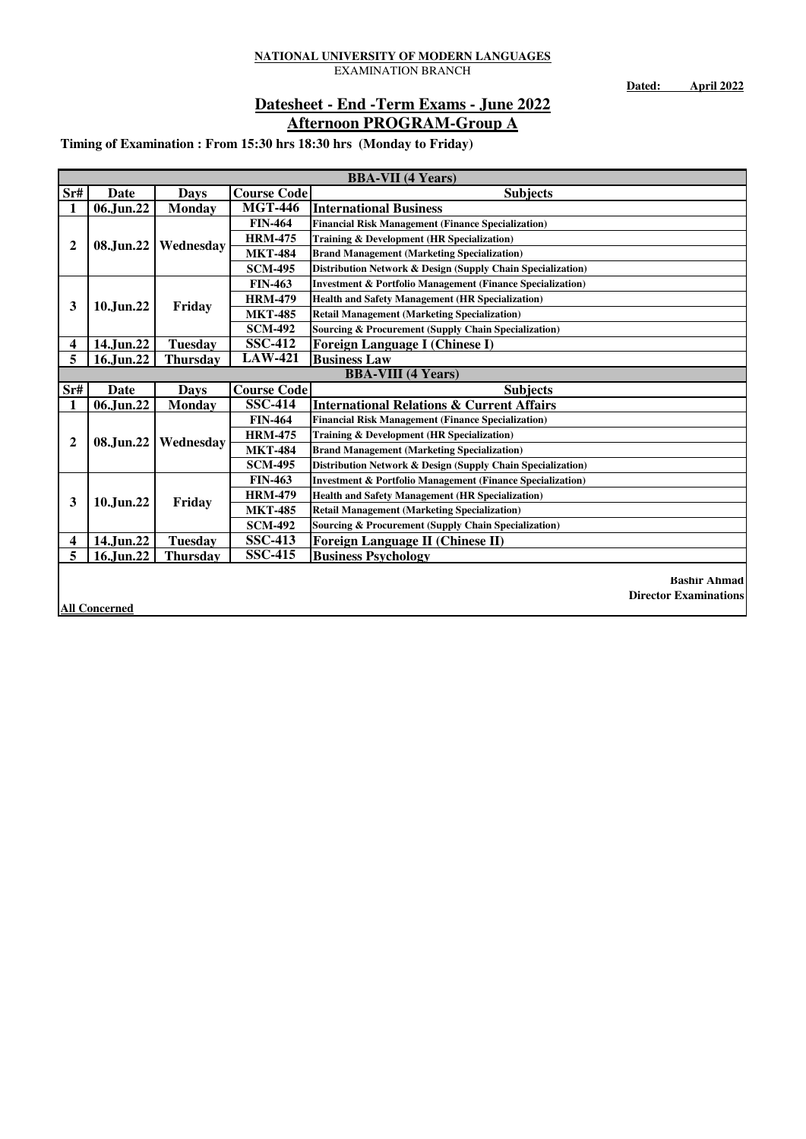**Dated: April 2022**

### **Afternoon PROGRAM-Group A Datesheet - End -Term Exams - June 2022**

**Timing of Examination : From 15:30 hrs 18:30 hrs (Monday to Friday)**

|                         | <b>BBA-VII</b> (4 Years) |                 |                    |                                                                       |  |  |
|-------------------------|--------------------------|-----------------|--------------------|-----------------------------------------------------------------------|--|--|
| Sr#                     | Date                     | <b>Days</b>     | <b>Course Code</b> | <b>Subjects</b>                                                       |  |  |
| 1                       | 06.Jun.22                | <b>Monday</b>   | <b>MGT-446</b>     | <b>International Business</b>                                         |  |  |
|                         |                          |                 | <b>FIN-464</b>     | <b>Financial Risk Management (Finance Specialization)</b>             |  |  |
| $\mathbf{2}$            | 08.Jun.22                | Wednesday       | <b>HRM-475</b>     | <b>Training &amp; Development (HR Specialization)</b>                 |  |  |
|                         |                          |                 | <b>MKT-484</b>     | <b>Brand Management (Marketing Specialization)</b>                    |  |  |
|                         |                          |                 | <b>SCM-495</b>     | Distribution Network & Design (Supply Chain Specialization)           |  |  |
|                         |                          |                 | <b>FIN-463</b>     | <b>Investment &amp; Portfolio Management (Finance Specialization)</b> |  |  |
| 3                       | 10.Jun.22                | Friday          | <b>HRM-479</b>     | <b>Health and Safety Management (HR Specialization)</b>               |  |  |
|                         |                          |                 | <b>MKT-485</b>     | <b>Retail Management (Marketing Specialization)</b>                   |  |  |
|                         |                          |                 | <b>SCM-492</b>     | Sourcing & Procurement (Supply Chain Specialization)                  |  |  |
| $\overline{\mathbf{4}}$ | 14.Jun.22                | <b>Tuesday</b>  | <b>SSC-412</b>     | <b>Foreign Language I (Chinese I)</b>                                 |  |  |
| 5                       | 16.Jun.22                | <b>Thursday</b> | <b>LAW-421</b>     | <b>Business Law</b>                                                   |  |  |
|                         |                          |                 |                    | <b>BBA-VIII</b> (4 Years)                                             |  |  |
| Sr#                     | Date                     | <b>Days</b>     | <b>Course Code</b> | <b>Subjects</b>                                                       |  |  |
| 1                       | 06.Jun.22                | <b>Monday</b>   | <b>SSC-414</b>     | <b>International Relations &amp; Current Affairs</b>                  |  |  |
|                         |                          |                 | <b>FIN-464</b>     | <b>Financial Risk Management (Finance Specialization)</b>             |  |  |
| $\mathbf{2}$            | 08.Jun.22                | Wednesday       | <b>HRM-475</b>     | Training & Development (HR Specialization)                            |  |  |
|                         |                          |                 | <b>MKT-484</b>     | <b>Brand Management (Marketing Specialization)</b>                    |  |  |
|                         |                          |                 | <b>SCM-495</b>     | Distribution Network & Design (Supply Chain Specialization)           |  |  |
|                         |                          |                 | <b>FIN-463</b>     | <b>Investment &amp; Portfolio Management (Finance Specialization)</b> |  |  |
| 3                       | 10.Jun.22                | Friday          | <b>HRM-479</b>     | <b>Health and Safety Management (HR Specialization)</b>               |  |  |
|                         |                          |                 | <b>MKT-485</b>     | <b>Retail Management (Marketing Specialization)</b>                   |  |  |
|                         |                          |                 | <b>SCM-492</b>     | <b>Sourcing &amp; Procurement (Supply Chain Specialization)</b>       |  |  |
| 4                       | 14.Jun.22                | <b>Tuesday</b>  | <b>SSC-413</b>     | <b>Foreign Language II (Chinese II)</b>                               |  |  |
| 5                       | 16.Jun.22                | <b>Thursday</b> | <b>SSC-415</b>     | <b>Business Psychology</b>                                            |  |  |
|                         |                          |                 |                    |                                                                       |  |  |
|                         |                          |                 |                    | <b>Bashir Ahmad</b>                                                   |  |  |
|                         |                          |                 |                    | <b>Director Examinations</b>                                          |  |  |

**All Concerned**

**Director Examinations**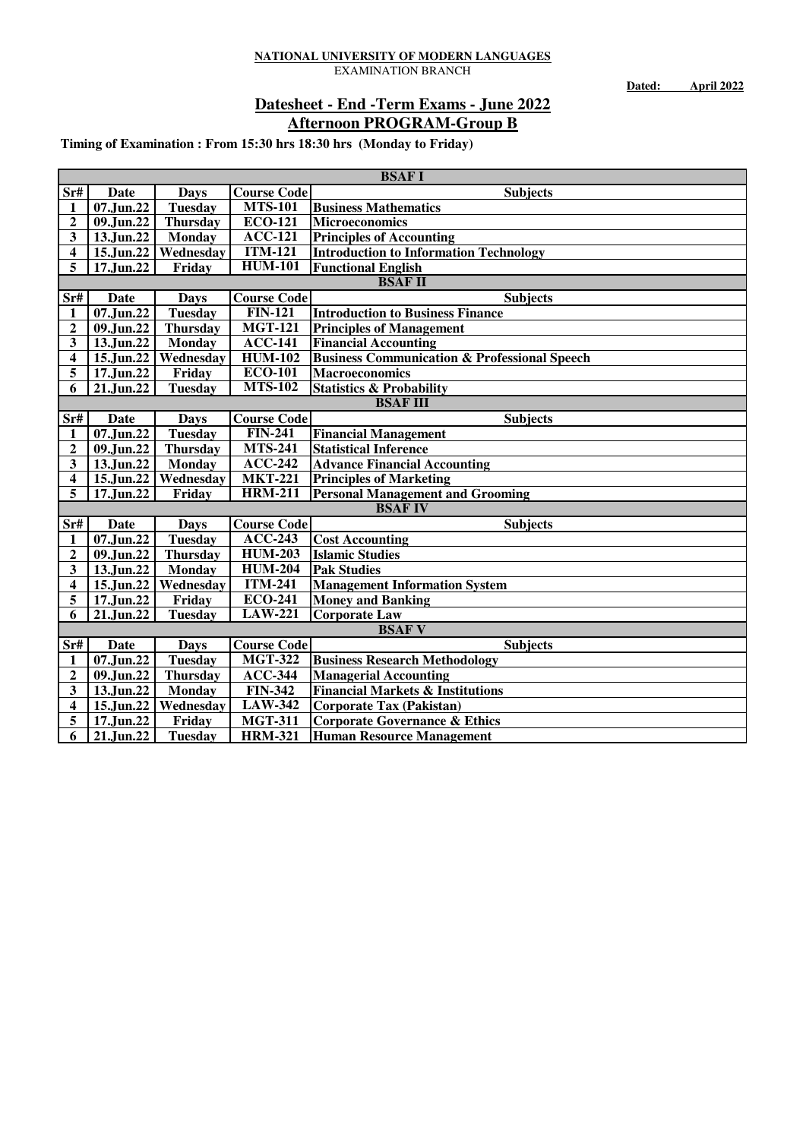**Dated: April 2022**

### **Afternoon PROGRAM-Group B Datesheet - End -Term Exams - June 2022**

|                | <b>BSAFI</b>            |                 |                              |                                                         |  |  |
|----------------|-------------------------|-----------------|------------------------------|---------------------------------------------------------|--|--|
| Sr#            | Date                    | <b>Days</b>     | <b>Course Code</b>           | Subjects                                                |  |  |
| 1              | 07.Jun.22               | <b>Tuesday</b>  | <b>MTS-101</b>               | <b>Business Mathematics</b>                             |  |  |
| 2              | 09.Jun.22               | <b>Thursday</b> | <b>ECO-121</b>               | <b>Microeconomics</b>                                   |  |  |
| 3              | 13.Jun.22               | Monday          | <b>ACC-121</b>               | <b>Principles of Accounting</b>                         |  |  |
| 4              | 15.Jun.22               | Wednesday       | <b>ITM-121</b>               | <b>Introduction to Information Technology</b>           |  |  |
| 5              | 17.Jun.22               | Friday          | <b>HUM-101</b>               | <b>Functional English</b>                               |  |  |
|                |                         |                 |                              | <b>BSAF II</b>                                          |  |  |
| Srf            | <b>Date</b>             | <b>Days</b>     | <b>Course Code</b>           | <b>Subjects</b>                                         |  |  |
| 1              | 07.Jun.22               | <b>Tuesday</b>  | <b>FIN-121</b>               | <b>Introduction to Business Finance</b>                 |  |  |
| 2              | 09.Jun.22               | <b>Thursday</b> | $\overline{MGT-121}$         | <b>Principles of Management</b>                         |  |  |
| 3              | 13.Jun.22               | Monday          | <b>ACC-141</b>               | <b>Financial Accounting</b>                             |  |  |
| 4              | 15.Jun.22               | Wednesday       | $\overline{HUM-102}$         | <b>Business Communication &amp; Professional Speech</b> |  |  |
| 5              | 17.Jun.22               | Friday          | <b>ECO-101</b>               | <b>Macroeconomics</b>                                   |  |  |
| 6              | 21.Jun.22               | <b>Tuesday</b>  | <b>MTS-102</b>               | <b>Statistics &amp; Probability</b>                     |  |  |
|                |                         |                 |                              | <b>BSAF III</b>                                         |  |  |
| $S$ r#         | <b>Date</b>             | <b>Days</b>     | <b>Course Code</b>           | <b>Subjects</b>                                         |  |  |
| 1              | 07.Jun.22               | <b>Tuesday</b>  | <b>FIN-241</b>               | <b>Financial Management</b>                             |  |  |
| $\overline{2}$ | 09.Jun.22               | <b>Thursday</b> | $\overline{\text{MTS}}$ -241 | <b>Statistical Inference</b>                            |  |  |
| 3              | 13.Jun.22               | <b>Monday</b>   | $ACC-242$                    | <b>Advance Financial Accounting</b>                     |  |  |
| 4              | $\overline{15}$ .Jun.22 | Wednesday       | <b>MKT-221</b>               | <b>Principles of Marketing</b>                          |  |  |
| 5              | 17.Jun.22               | Friday          | <b>HRM-211</b>               | <b>Personal Management and Grooming</b>                 |  |  |
|                |                         |                 |                              | <b>BSAF IV</b>                                          |  |  |
| Sr#            | <b>Date</b>             | <b>Days</b>     | <b>Course Code</b>           | <b>Subjects</b>                                         |  |  |
| 1              | $07$ .Jun.22            | <b>Tuesday</b>  | $\overline{ACC-243}$         | <b>Cost Accounting</b>                                  |  |  |
| $\mathbf{2}$   | 09.Jun.22               | <b>Thursday</b> | <b>HUM-203</b>               | <b>Islamic Studies</b>                                  |  |  |
| 3              | 13.Jun.22               | Monday          | <b>HUM-204</b>               | <b>Pak Studies</b>                                      |  |  |
| 4              | 15.Jun.22               | Wednesday       | $\overline{ITM}$ -241        | <b>Management Information System</b>                    |  |  |
| 5              | 17.Jun.22               | Friday          | <b>ECO-241</b>               | <b>Money and Banking</b>                                |  |  |
| 6              | 21.Jun.22               | <b>Tuesday</b>  | <b>LAW-221</b>               | <b>Corporate Law</b>                                    |  |  |
|                |                         |                 |                              | <b>BSAFV</b>                                            |  |  |
| $S$ r#         | <b>Date</b>             | <b>Days</b>     | <b>Course Code</b>           | <b>Subjects</b>                                         |  |  |
| 1              | 07.Jun.22               | <b>Tuesday</b>  | <b>MGT-322</b>               | <b>Business Research Methodology</b>                    |  |  |
| $\mathbf{2}$   | 09.Jun.22               | <b>Thursday</b> | <b>ACC-344</b>               | <b>Managerial Accounting</b>                            |  |  |
| 3              | 13.Jun.22               | Monday          | <b>FIN-342</b>               | <b>Financial Markets &amp; Institutions</b>             |  |  |
| 4              | 15.Jun.22               | Wednesday       | <b>LAW-342</b>               | <b>Corporate Tax (Pakistan)</b>                         |  |  |
| 5              | 17.Jun.22               | Friday          | <b>MGT-311</b>               | <b>Corporate Governance &amp; Ethics</b>                |  |  |
| 6              | 21.Jun.22               | <b>Tuesday</b>  | <b>HRM-321</b>               | <b>Human Resource Management</b>                        |  |  |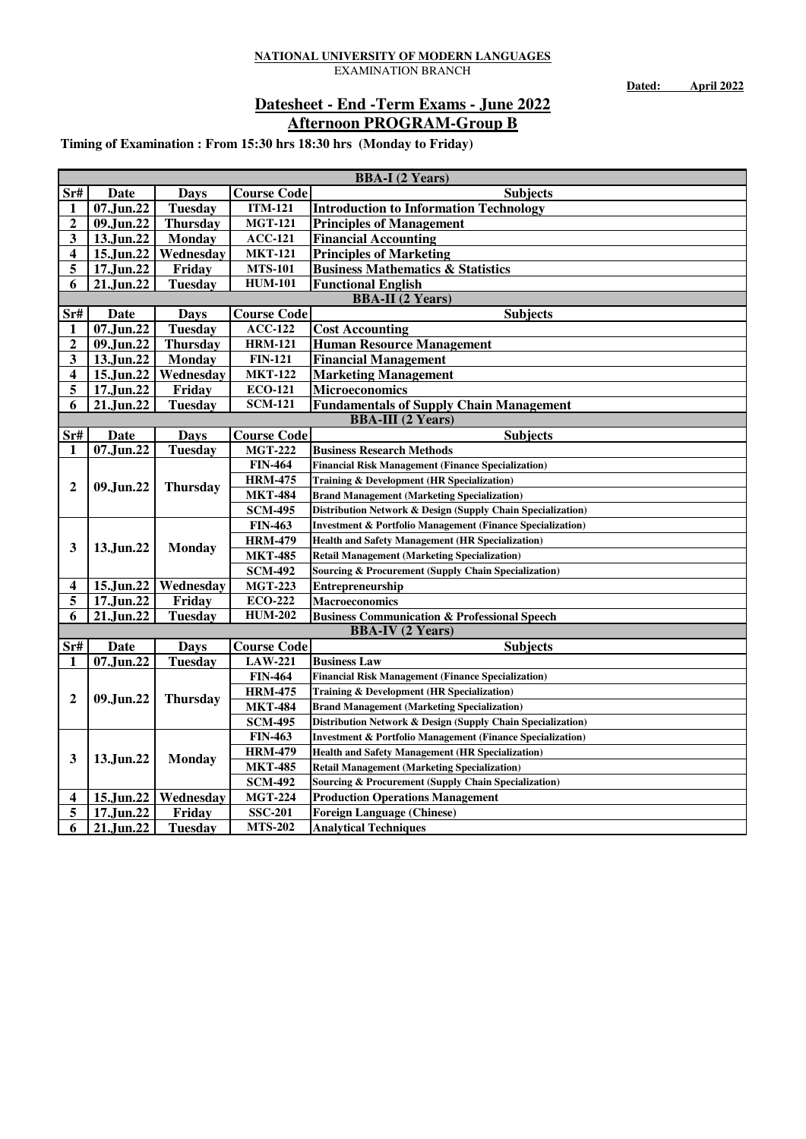**Dated: April 2022**

### **Afternoon PROGRAM-Group B Datesheet - End -Term Exams - June 2022**

|                         | <b>BBA-I</b> (2 Years)  |                 |                    |                                                                       |  |  |  |
|-------------------------|-------------------------|-----------------|--------------------|-----------------------------------------------------------------------|--|--|--|
| Sr#                     | Date                    | <b>Days</b>     | <b>Course Code</b> | <b>Subjects</b>                                                       |  |  |  |
| 1                       | 07.Jun.22               | <b>Tuesday</b>  | <b>ITM-121</b>     | <b>Introduction to Information Technology</b>                         |  |  |  |
| $\overline{\mathbf{c}}$ | 09.Jun.22               | <b>Thursday</b> | <b>MGT-121</b>     | <b>Principles of Management</b>                                       |  |  |  |
| 3                       | 13.Jun.22               | <b>Monday</b>   | <b>ACC-121</b>     | <b>Financial Accounting</b>                                           |  |  |  |
| 4                       | 15.Jun.22               | Wednesday       | <b>MKT-121</b>     | <b>Principles of Marketing</b>                                        |  |  |  |
| 5                       | 17.Jun.22               | Friday          | <b>MTS-101</b>     | <b>Business Mathematics &amp; Statistics</b>                          |  |  |  |
| 6                       | 21.Jun.22               | <b>Tuesday</b>  | <b>HUM-101</b>     | <b>Functional English</b>                                             |  |  |  |
|                         |                         |                 |                    | <b>BBA-II</b> (2 Years)                                               |  |  |  |
| Sr#                     | Date                    | <b>Days</b>     | <b>Course Code</b> | <b>Subjects</b>                                                       |  |  |  |
| 1                       | $\overline{07}$ .Jun.22 | <b>Tuesday</b>  | <b>ACC-122</b>     | <b>Cost Accounting</b>                                                |  |  |  |
| $\overline{\mathbf{c}}$ | 09.Jun.22               | <b>Thursday</b> | <b>HRM-121</b>     | <b>Human Resource Management</b>                                      |  |  |  |
| 3                       | 13.Jun.22               | Monday          | <b>FIN-121</b>     | <b>Financial Management</b>                                           |  |  |  |
| 4                       | 15.Jun.22               | Wednesday       | <b>MKT-122</b>     | <b>Marketing Management</b>                                           |  |  |  |
| 5                       | 17.Jun.22               | Friday          | <b>ECO-121</b>     | <b>Microeconomics</b>                                                 |  |  |  |
| 6                       | 21.Jun.22               | <b>Tuesday</b>  | <b>SCM-121</b>     | <b>Fundamentals of Supply Chain Management</b>                        |  |  |  |
|                         |                         |                 |                    | <b>BBA-III</b> (2 Years)                                              |  |  |  |
| Sr#                     | Date                    | <b>Days</b>     | <b>Course Code</b> | <b>Subjects</b>                                                       |  |  |  |
|                         | 07.Jun.22               | <b>Tuesday</b>  | <b>MGT-222</b>     | <b>Business Research Methods</b>                                      |  |  |  |
|                         |                         |                 | <b>FIN-464</b>     | <b>Financial Risk Management (Finance Specialization)</b>             |  |  |  |
| $\mathbf{2}$            | 09.Jun.22               | <b>Thursday</b> | <b>HRM-475</b>     | Training & Development (HR Specialization)                            |  |  |  |
|                         |                         |                 | <b>MKT-484</b>     | <b>Brand Management (Marketing Specialization)</b>                    |  |  |  |
|                         |                         |                 | <b>SCM-495</b>     | Distribution Network & Design (Supply Chain Specialization)           |  |  |  |
|                         |                         |                 | <b>FIN-463</b>     | <b>Investment &amp; Portfolio Management (Finance Specialization)</b> |  |  |  |
| 3                       | 13.Jun.22               | <b>Monday</b>   | <b>HRM-479</b>     | <b>Health and Safety Management (HR Specialization)</b>               |  |  |  |
|                         |                         |                 | <b>MKT-485</b>     | <b>Retail Management (Marketing Specialization)</b>                   |  |  |  |
|                         |                         |                 | <b>SCM-492</b>     | <b>Sourcing &amp; Procurement (Supply Chain Specialization)</b>       |  |  |  |
| 4                       | 15.Jun.22               | Wednesday       | <b>MGT-223</b>     | <b>Entrepreneurship</b>                                               |  |  |  |
| 5                       | 17.Jun.22               | Friday          | <b>ECO-222</b>     | <b>Macroeconomics</b>                                                 |  |  |  |
| 6                       | 21.Jun.22               | <b>Tuesday</b>  | <b>HUM-202</b>     | <b>Business Communication &amp; Professional Speech</b>               |  |  |  |
|                         |                         |                 |                    | <b>BBA-IV (2 Years)</b>                                               |  |  |  |
| $S$ r#                  | Date                    | <b>Days</b>     | <b>Course Code</b> | <b>Subjects</b>                                                       |  |  |  |
| 1                       | 07.Jun.22               | <b>Tuesday</b>  | <b>LAW-221</b>     | <b>Business Law</b>                                                   |  |  |  |
|                         |                         |                 | <b>FIN-464</b>     | <b>Financial Risk Management (Finance Specialization)</b>             |  |  |  |
|                         |                         |                 | <b>HRM-475</b>     | Training & Development (HR Specialization)                            |  |  |  |
| 2                       | 09.Jun.22               | <b>Thursday</b> | <b>MKT-484</b>     | <b>Brand Management (Marketing Specialization)</b>                    |  |  |  |
|                         |                         |                 | <b>SCM-495</b>     | Distribution Network & Design (Supply Chain Specialization)           |  |  |  |
|                         |                         |                 | <b>FIN-463</b>     | <b>Investment &amp; Portfolio Management (Finance Specialization)</b> |  |  |  |
|                         |                         |                 | <b>HRM-479</b>     | <b>Health and Safety Management (HR Specialization)</b>               |  |  |  |
| 3                       | 13.Jun.22               | <b>Monday</b>   | <b>MKT-485</b>     | <b>Retail Management (Marketing Specialization)</b>                   |  |  |  |
|                         |                         |                 | <b>SCM-492</b>     | <b>Sourcing &amp; Procurement (Supply Chain Specialization)</b>       |  |  |  |
| 4                       | 15.Jun.22               | Wednesday       | <b>MGT-224</b>     | <b>Production Operations Management</b>                               |  |  |  |
| 5                       | 17.Jun.22               | Friday          | <b>SSC-201</b>     | <b>Foreign Language (Chinese)</b>                                     |  |  |  |
| 6                       | 21.Jun.22               | <b>Tuesday</b>  | <b>MTS-202</b>     | <b>Analytical Techniques</b>                                          |  |  |  |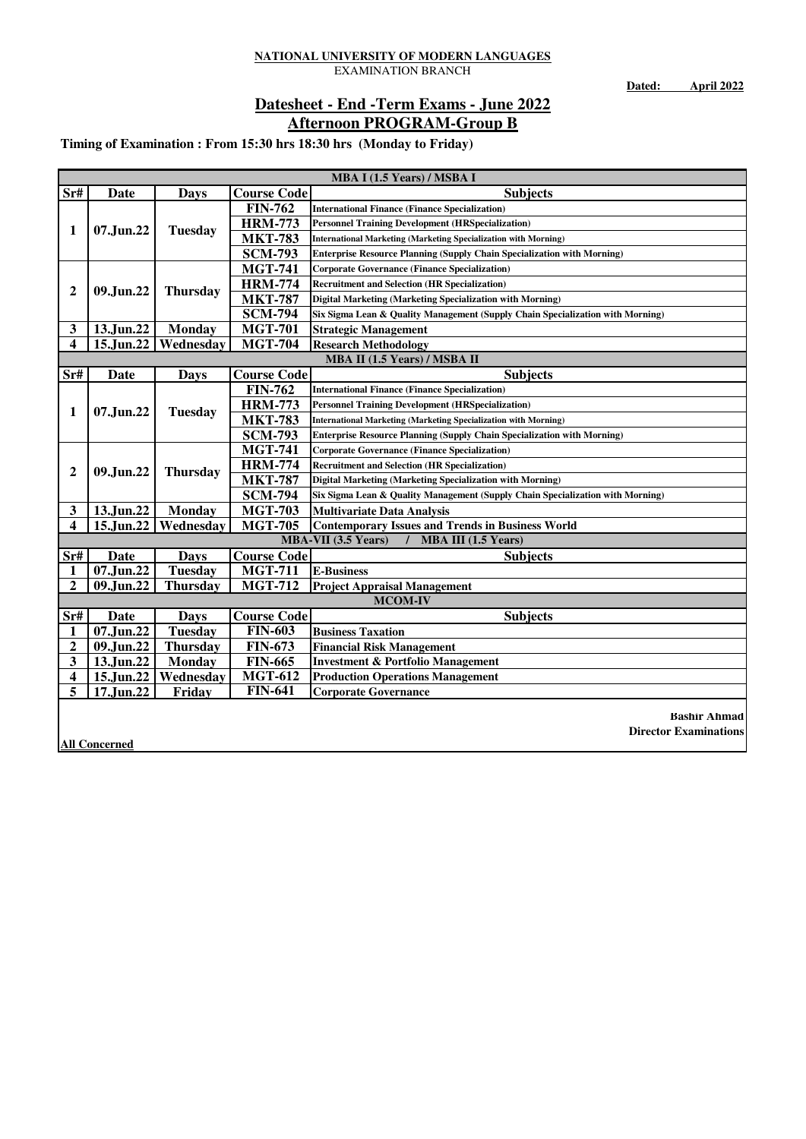**Dated: April 2022**

### **Afternoon PROGRAM-Group B Datesheet - End -Term Exams - June 2022**

|                         | MBA I (1.5 Years) / MSBA I |                 |                    |                                                                                |  |  |
|-------------------------|----------------------------|-----------------|--------------------|--------------------------------------------------------------------------------|--|--|
| Sr#                     | Date                       | Days            | <b>Course Code</b> | <b>Subjects</b>                                                                |  |  |
|                         |                            |                 | <b>FIN-762</b>     | <b>International Finance (Finance Specialization)</b>                          |  |  |
| 1                       | 07.Jun.22                  | <b>Tuesday</b>  | <b>HRM-773</b>     | <b>Personnel Training Development (HRSpecialization)</b>                       |  |  |
|                         |                            |                 | <b>MKT-783</b>     | <b>International Marketing (Marketing Specialization with Morning)</b>         |  |  |
|                         |                            |                 | <b>SCM-793</b>     | <b>Enterprise Resource Planning (Supply Chain Specialization with Morning)</b> |  |  |
|                         |                            |                 | <b>MGT-741</b>     | <b>Corporate Governance (Finance Specialization)</b>                           |  |  |
| $\mathbf{2}$            | 09.Jun.22                  |                 | <b>HRM-774</b>     | <b>Recruitment and Selection (HR Specialization)</b>                           |  |  |
|                         |                            | <b>Thursday</b> | <b>MKT-787</b>     | Digital Marketing (Marketing Specialization with Morning)                      |  |  |
|                         |                            |                 | <b>SCM-794</b>     | Six Sigma Lean & Quality Management (Supply Chain Specialization with Morning) |  |  |
| $\mathbf{3}$            | 13.Jun.22                  | <b>Monday</b>   | <b>MGT-701</b>     | <b>Strategic Management</b>                                                    |  |  |
| $\overline{\mathbf{4}}$ | 15.Jun.22                  | Wednesday       | <b>MGT-704</b>     | <b>Research Methodology</b>                                                    |  |  |
|                         |                            |                 |                    | MBA II (1.5 Years) / MSBA II                                                   |  |  |
| Sr#                     | Date                       | <b>Days</b>     | <b>Course Code</b> | <b>Subjects</b>                                                                |  |  |
|                         |                            |                 | <b>FIN-762</b>     | <b>International Finance (Finance Specialization)</b>                          |  |  |
| 1                       | 07.Jun.22                  | <b>Tuesday</b>  | <b>HRM-773</b>     | <b>Personnel Training Development (HRSpecialization)</b>                       |  |  |
|                         |                            |                 | <b>MKT-783</b>     | <b>International Marketing (Marketing Specialization with Morning)</b>         |  |  |
|                         |                            |                 | <b>SCM-793</b>     | <b>Enterprise Resource Planning (Supply Chain Specialization with Morning)</b> |  |  |
|                         |                            |                 | <b>MGT-741</b>     | <b>Corporate Governance (Finance Specialization)</b>                           |  |  |
| $\mathbf{2}$            | 09.Jun.22                  | <b>Thursday</b> | <b>HRM-774</b>     | <b>Recruitment and Selection (HR Specialization)</b>                           |  |  |
|                         |                            |                 | <b>MKT-787</b>     | Digital Marketing (Marketing Specialization with Morning)                      |  |  |
|                         |                            |                 | <b>SCM-794</b>     | Six Sigma Lean & Quality Management (Supply Chain Specialization with Morning) |  |  |
| $\mathbf{3}$            | 13.Jun.22                  | <b>Monday</b>   | <b>MGT-703</b>     | <b>Multivariate Data Analysis</b>                                              |  |  |
| $\overline{\mathbf{4}}$ | 15.Jun.22                  | Wednesday       | <b>MGT-705</b>     | <b>Contemporary Issues and Trends in Business World</b>                        |  |  |
|                         |                            |                 |                    | <b>MBA-VII</b> (3.5 Years)<br><b>MBA III</b> $(1.5$ Years)                     |  |  |
| Sr#                     | Date                       | <b>Days</b>     | <b>Course Code</b> | <b>Subjects</b>                                                                |  |  |
| 1                       | 07.Jun.22                  | <b>Tuesday</b>  | <b>MGT-711</b>     | <b>E-Business</b>                                                              |  |  |
| $\overline{2}$          | 09.Jun.22                  | <b>Thursday</b> | <b>MGT-712</b>     | <b>Project Appraisal Management</b>                                            |  |  |
|                         |                            |                 |                    | <b>MCOM-IV</b>                                                                 |  |  |
| Sr#                     | Date                       | <b>Days</b>     | <b>Course Code</b> | <b>Subjects</b>                                                                |  |  |
| 1                       | 07.Jun.22                  | <b>Tuesday</b>  | <b>FIN-603</b>     | <b>Business Taxation</b>                                                       |  |  |
| 2                       | 09.Jun.22                  | <b>Thursday</b> | <b>FIN-673</b>     | <b>Financial Risk Management</b>                                               |  |  |
| 3                       | 13.Jun.22                  | <b>Monday</b>   | <b>FIN-665</b>     | <b>Investment &amp; Portfolio Management</b>                                   |  |  |
| $\overline{\mathbf{4}}$ | 15.Jun.22                  | Wednesday       | <b>MGT-612</b>     | <b>Production Operations Management</b>                                        |  |  |
| 5                       | 17.Jun.22                  | Friday          | <b>FIN-641</b>     | <b>Corporate Governance</b>                                                    |  |  |
|                         |                            |                 |                    |                                                                                |  |  |
|                         |                            |                 |                    | <b>Bashir Ahmad</b>                                                            |  |  |
|                         | <b>All Concerned</b>       |                 |                    | <b>Director Examinations</b>                                                   |  |  |
|                         |                            |                 |                    |                                                                                |  |  |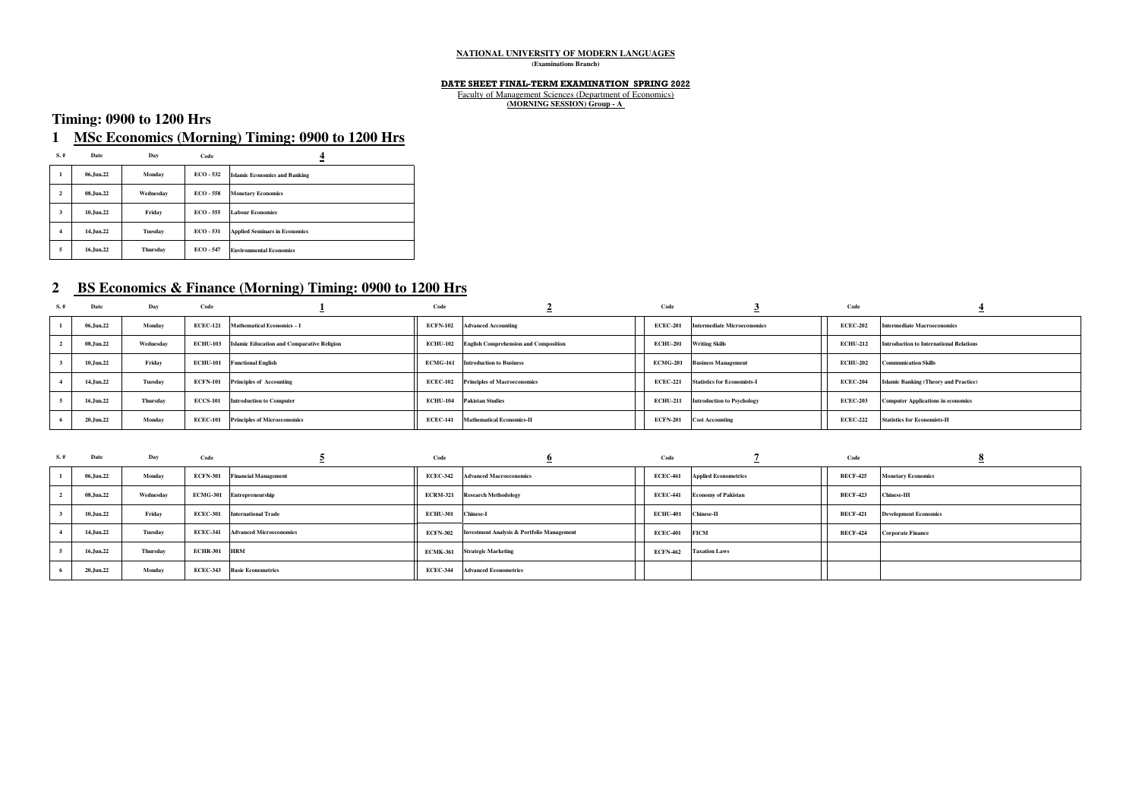#### **NATIONAL UNIVERSITY OF MODERN LANGUAGES (Examinations Branch)**

#### **DATE SHEET FINAL-TERM EXAMINATION SPRING 2022**

Faculty of Management Sciences (Department of Economics) **(MORNING SESSION) Group - A** 

### **Timing: 0900 to 1200 Hrs**

### **1 MSc Economics (Morning) Timing: 0900 to 1200 Hrs**

| S.#                     | Date      | Day             | Code        | 4                                    |
|-------------------------|-----------|-----------------|-------------|--------------------------------------|
| 1                       | 06.Jun.22 | Monday          | $ECO - 532$ | <b>Islamic Economics and Banking</b> |
| $\overline{\mathbf{c}}$ | 08.Jun.22 | Wednesdav       | $ECO - 558$ | <b>Monetary Economics</b>            |
| 3                       | 10.Jun.22 | Friday          | ECO - 555   | <b>Labour Economics</b>              |
| $\overline{4}$          | 14.Jun.22 | <b>Tuesday</b>  | $ECO - 531$ | <b>Applied Seminars in Economics</b> |
| 5                       | 16.Jun.22 | <b>Thursday</b> | ECO - 547   | <b>Environmental Economics</b>       |

### **2 BS Economics & Finance (Morning) Timing: 0900 to 1200 Hrs**

| S, # | Date      | Day       | Code            |                                                   | Code            |                                              | Code            |                                     | Code            |                                                |
|------|-----------|-----------|-----------------|---------------------------------------------------|-----------------|----------------------------------------------|-----------------|-------------------------------------|-----------------|------------------------------------------------|
|      | 06.Jun.22 | Monday    | <b>ECEC-121</b> | <b>Mathematical Economics-I</b>                   |                 | <b>ECFN-102</b> Advanced Accounting          | <b>ECEC-201</b> | <b>Intermediate Microeconomics</b>  | <b>ECEC-202</b> | <b>Intermediate Macroeconomics</b>             |
|      | 08.Jun.22 | Wednesday | <b>ECHU-103</b> | <b>Islamic Education and Comparative Religion</b> | <b>ECHU-102</b> | <b>English Comprehension and Composition</b> | <b>ECHU-201</b> | <b>Writing Skills</b>               | <b>ECHU-212</b> | <b>Introduction to International Relations</b> |
|      | 10.Jun.22 | Friday    |                 | <b>ECHU-101</b> Functional English                |                 | <b>ECMG-161</b> Introduction to Business     |                 | <b>ECMG-201</b> Business Management | <b>ECHU-202</b> | <b>Communication Skills</b>                    |
|      | 14.Jun.22 | Tuesday   |                 | <b>ECFN-101</b> Principles of Accounting          | <b>ECEC-102</b> | <b>Principles of Macroeconomics</b>          | <b>ECEC-221</b> | <b>Statistics for Economists-I</b>  | <b>ECEC-204</b> | <b>Islamic Banking (Theory and Practice)</b>   |
|      | 16.Jun.22 | Thursday  |                 | <b>ECCS-101</b> Introduction to Computer          | <b>ECHU-104</b> | <b>Pakistan Studies</b>                      | <b>ECHU-211</b> | <b>Introduction to Psychology</b>   | <b>ECEC-203</b> | <b>Computer Applications in economics</b>      |
| -6   | 20.Jun.22 | Monday    | <b>ECEC-101</b> | <b>Principles of Microeconomics</b>               | <b>ECEC-141</b> | <b>Mathematical Economics-II</b>             | <b>ECFN-201</b> | <b>Cost Accounting</b>              | <b>ECEC-222</b> | <b>Statistics for Economists-II</b>            |

| S.~# | Date      | Day       | Code         |                                         | Code            |                                                       | Code            |                                     | Code            |                              |
|------|-----------|-----------|--------------|-----------------------------------------|-----------------|-------------------------------------------------------|-----------------|-------------------------------------|-----------------|------------------------------|
|      | 06.Jun.22 | Monday    |              | <b>ECFN-301</b> Financial Management    |                 | <b>ECEC-342</b> Advanced Macroeconomics               | <b>ECEC-461</b> | <b>Applied Econometrics</b>         | <b>BECF-425</b> | <b>Monetary Economics</b>    |
|      | 08.Jun.22 | Wednesday |              | ECMG-301 Entrepreneurship               |                 | <b>ECRM-321</b> Research Methodology                  |                 | <b>ECEC-441</b> Economy of Pakistan | <b>BECF-423</b> | <b>Chinese-III</b>           |
|      | 10.Jun.22 | Friday    |              | <b>ECEC-301</b> International Trade     | <b>ECHU-301</b> | <b>Chinese-I</b>                                      | <b>ECHU-401</b> | <b>Chinese-II</b>                   | <b>BECF-421</b> | <b>Development Economics</b> |
|      | 14.Jun.22 | Tuesday   |              | <b>ECEC-341</b> Advanced Microeconomics | <b>ECFN-302</b> | <b>Investment Analysis &amp; Portfolio Management</b> | <b>ECEC-401</b> | <b>FICM</b>                         | <b>BECF-424</b> | <b>Corporate Finance</b>     |
|      | 16.Jun.22 | Thursday  | ECHR-301 HRM |                                         |                 | <b>ECMK-361</b> Strategic Marketing                   | <b>ECFN-462</b> | <b>Taxation Laws</b>                |                 |                              |
|      | 20.Jun.22 | Monday    |              | <b>ECEC-343</b> Basic Econometrics      |                 | <b>ECEC-344</b> Advanced Econometrics                 |                 |                                     |                 |                              |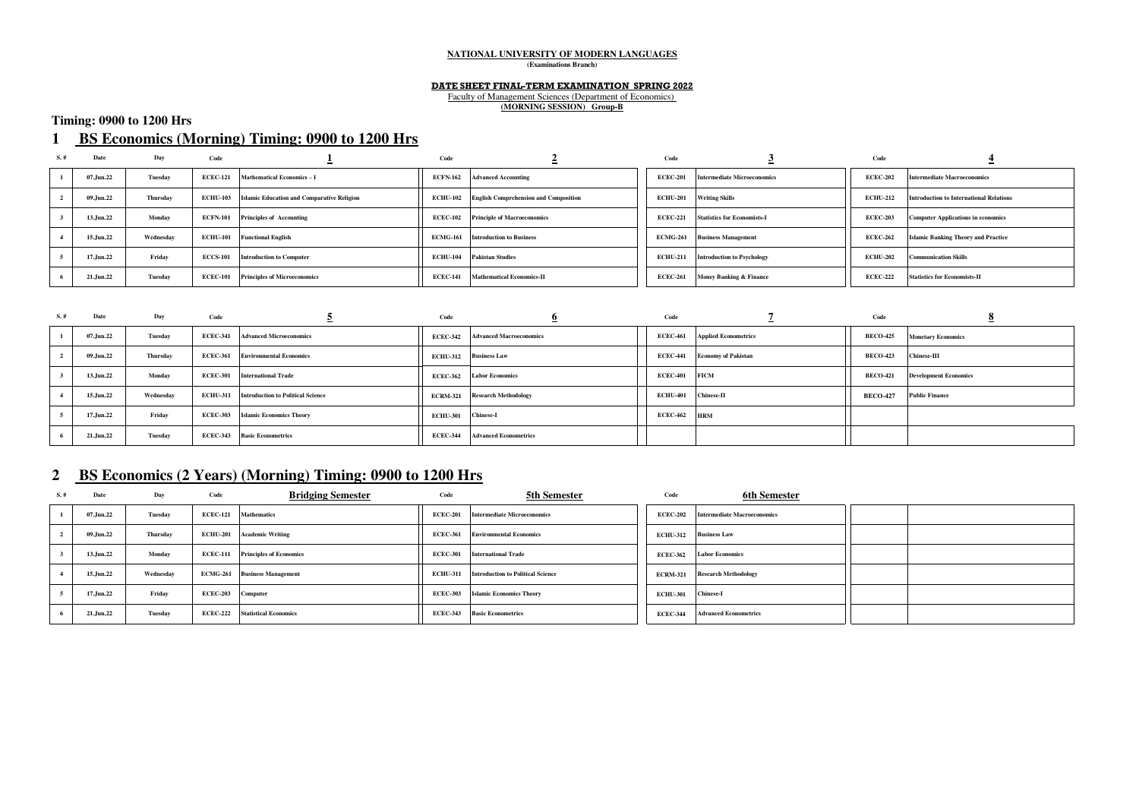#### **NATIONAL UNIVERSITY OF MODERN LANGUAGES (Examinations Branch)**

#### **DATE SHEET FINAL-TERM EXAMINATION SPRING 2022**

Faculty of Management Sciences (Department of Economics) **(MORNING SESSION) Group-B**

### **Timing: 0900 to 1200 Hrs**

### **1 BS Economics (Morning) Timing: 0900 to 1200 Hrs**

| S.# | Date      | Day       | Code            |                                                            | Code            |                                              | Code            |                                             | Code            |                                                |
|-----|-----------|-----------|-----------------|------------------------------------------------------------|-----------------|----------------------------------------------|-----------------|---------------------------------------------|-----------------|------------------------------------------------|
|     | 07.Jun.22 | Tuesday   | <b>ECEC-121</b> | <b>Mathematical Economics-I</b>                            |                 | <b>ECFN-162</b> Advanced Accounting          | <b>ECEC-201</b> | <b>Intermediate Microeconomics</b>          | <b>ECEC-202</b> | Intermediate Macroeconomics                    |
|     | 09.Jun.22 | Thursday  |                 | <b>ECHU-103</b> Islamic Education and Comparative Religion | <b>ECHU-102</b> | <b>English Comprehension and Composition</b> | <b>ECHU-201</b> | <b>Writing Skills</b>                       | <b>ECHU-212</b> | <b>Introduction to International Relations</b> |
|     | 13.Jun.22 | Monday    |                 | <b>ECFN-101</b> Principles of Accounting                   | <b>ECEC-102</b> | <b>Principle of Macroeconomics</b>           |                 | <b>ECEC-221</b> Statistics for Economists-I | <b>ECEC-203</b> | <b>Computer Applications in economics</b>      |
|     | 15.Jun.22 | Wednesday |                 | <b>ECHU-101</b> Functional English                         | <b>ECMG-161</b> | <b>Introduction to Business</b>              | <b>ECMG-261</b> | <b>Business Management</b>                  | <b>ECEC-262</b> | <b>Islamic Banking Theory and Practice</b>     |
|     | 17.Jun.22 | Friday    | <b>ECCS-101</b> | <b>Introduction to Computer</b>                            | <b>ECHU-104</b> | <b>Pakistan Studies</b>                      | <b>ECHU-211</b> | <b>Introduction to Psychology</b>           | <b>ECHU-202</b> | <b>Communication Skills</b>                    |
|     | 21.Jun.22 | Tuesday   | <b>ECEC-101</b> | <b>Principles of Microeconomics</b>                        | <b>ECEC-141</b> | <b>Mathematical Economics-II</b>             | <b>ECEC-261</b> | <b>Money Banking &amp; Finance</b>          | <b>ECEC-222</b> | <b>Statistics for Economists-II</b>            |

| $S.$ # | Date      | Day       | Code            |                                                   | Code            |                                         | Code                |                                      | Code            |                              |
|--------|-----------|-----------|-----------------|---------------------------------------------------|-----------------|-----------------------------------------|---------------------|--------------------------------------|-----------------|------------------------------|
|        | 07.Jun.22 | Tuesday   |                 | <b>ECEC-341</b> Advanced Microeconomics           |                 | <b>ECEC-342</b> Advanced Macroeconomics |                     | <b>ECEC-461</b> Applied Econometrics | <b>BECO-425</b> | <b>Monetary Economics</b>    |
|        | 09.Jun.22 | Thursday  | <b>ECEC-361</b> | <b>Environmental Economics</b>                    |                 | <b>ECHU-312</b> Business Law            |                     | <b>ECEC-441</b> Economy of Pakistan  | <b>BECO-423</b> | <b>Chinese-III</b>           |
|        | 13.Jun.22 | Monday    |                 | <b>ECEC-301</b> International Trade               | <b>ECEC-362</b> | <b>Labor Economics</b>                  | ECEC-401 FICM       |                                      | <b>BECO-421</b> | <b>Development Economics</b> |
|        | 15.Jun.22 | Wednesdav |                 | <b>ECHU-311</b> Introduction to Political Science |                 | <b>ECRM-321</b> Research Methodology    | ECHU-401 Chinese-II |                                      | <b>BECO-427</b> | <b>Public Finance</b>        |
|        | 17.Jun.22 | Friday    |                 | <b>ECEC-303</b> Islamic Economics Theory          | <b>ECHU-301</b> | <b>Chinese-I</b>                        | <b>ECEC-462</b>     | <b>HRM</b>                           |                 |                              |
|        | 21.Jun.22 | Tuesday   |                 | <b>ECEC-343</b> Basic Econometrics                | <b>ECEC-344</b> | <b>Advanced Econometrics</b>            |                     |                                      |                 |                              |

### **2 BS Economics (2 Years) (Morning) Timing: 0900 to 1200 Hrs**

| $S.$ # | Date      | Day             | Code              | <b>Bridging Semester</b>                | Code            | 5th Semester                                      | Code               | 6th Semester                                |  |
|--------|-----------|-----------------|-------------------|-----------------------------------------|-----------------|---------------------------------------------------|--------------------|---------------------------------------------|--|
|        | 07.Jun.22 | Tuesday         |                   | <b>ECEC-121</b> Mathematics             | <b>ECEC-201</b> | <b>Intermediate Microeconomics</b>                |                    | <b>ECEC-202</b> Intermediate Macroeconomics |  |
|        | 09.Jun.22 | <b>Thursday</b> |                   | <b>ECHU-201</b> Academic Writing        | <b>ECEC-361</b> | <b>Environmental Economics</b>                    |                    | ECHU-312 Business Law                       |  |
|        | 13.Jun.22 | Monday          |                   | <b>ECEC-111</b> Principles of Economics |                 | <b>ECEC-301</b> International Trade               |                    | <b>ECEC-362</b> Labor Economics             |  |
|        | 15.Jun.22 | Wednesdav       |                   | <b>ECMG-261</b> Business Management     |                 | <b>ECHU-311</b> Introduction to Political Science |                    | <b>ECRM-321</b> Research Methodology        |  |
|        | 17.Jun.22 | Friday          | ECEC-203 Computer |                                         |                 | <b>ECEC-303</b> Islamic Economics Theory          | ECHU-301 Chinese-I |                                             |  |
|        | 21.Jun.22 | Tuesday         |                   | <b>ECEC-222</b> Statistical Economics   |                 | <b>ECEC-343</b> Basic Econometrics                |                    | <b>ECEC-344</b> Advanced Econometrics       |  |